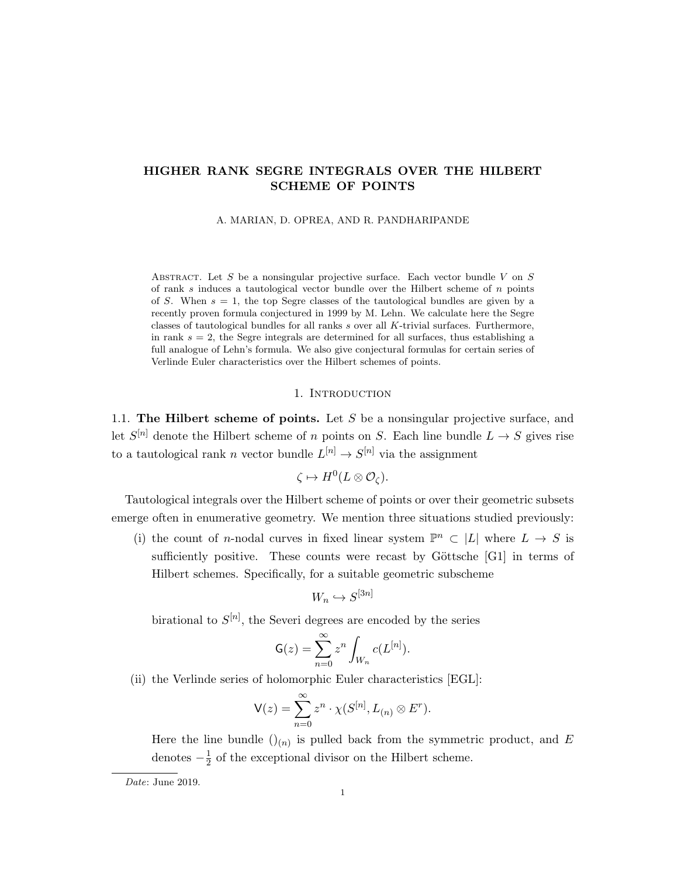# HIGHER RANK SEGRE INTEGRALS OVER THE HILBERT SCHEME OF POINTS

A. MARIAN, D. OPREA, AND R. PANDHARIPANDE

ABSTRACT. Let S be a nonsingular projective surface. Each vector bundle V on S of rank s induces a tautological vector bundle over the Hilbert scheme of  $n$  points of S. When  $s = 1$ , the top Segre classes of the tautological bundles are given by a recently proven formula conjectured in 1999 by M. Lehn. We calculate here the Segre classes of tautological bundles for all ranks s over all K-trivial surfaces. Furthermore, in rank  $s = 2$ , the Segre integrals are determined for all surfaces, thus establishing a full analogue of Lehn's formula. We also give conjectural formulas for certain series of Verlinde Euler characteristics over the Hilbert schemes of points.

### 1. INTRODUCTION

1.1. The Hilbert scheme of points. Let S be a nonsingular projective surface, and let  $S^{[n]}$  denote the Hilbert scheme of n points on S. Each line bundle  $L \to S$  gives rise to a tautological rank *n* vector bundle  $L^{[n]} \to S^{[n]}$  via the assignment

$$
\zeta \mapsto H^0(L \otimes \mathcal{O}_{\zeta}).
$$

Tautological integrals over the Hilbert scheme of points or over their geometric subsets emerge often in enumerative geometry. We mention three situations studied previously:

(i) the count of n-nodal curves in fixed linear system  $\mathbb{P}^n \subset |L|$  where  $L \to S$  is sufficiently positive. These counts were recast by Göttsche  $[G1]$  in terms of Hilbert schemes. Specifically, for a suitable geometric subscheme

$$
W_n \hookrightarrow S^{[3n]}
$$

birational to  $S^{[n]}$ , the Severi degrees are encoded by the series

$$
\mathsf{G}(z) = \sum_{n=0}^{\infty} z^n \int_{W_n} c(L^{[n]}).
$$

(ii) the Verlinde series of holomorphic Euler characteristics [EGL]:

$$
\mathsf{V}(z) = \sum_{n=0}^{\infty} z^n \cdot \chi(S^{[n]}, L_{(n)} \otimes E^r).
$$

Here the line bundle  $\left(\right)_{(n)}$  is pulled back from the symmetric product, and E denotes  $-\frac{1}{2}$  $\frac{1}{2}$  of the exceptional divisor on the Hilbert scheme.

Date: June 2019.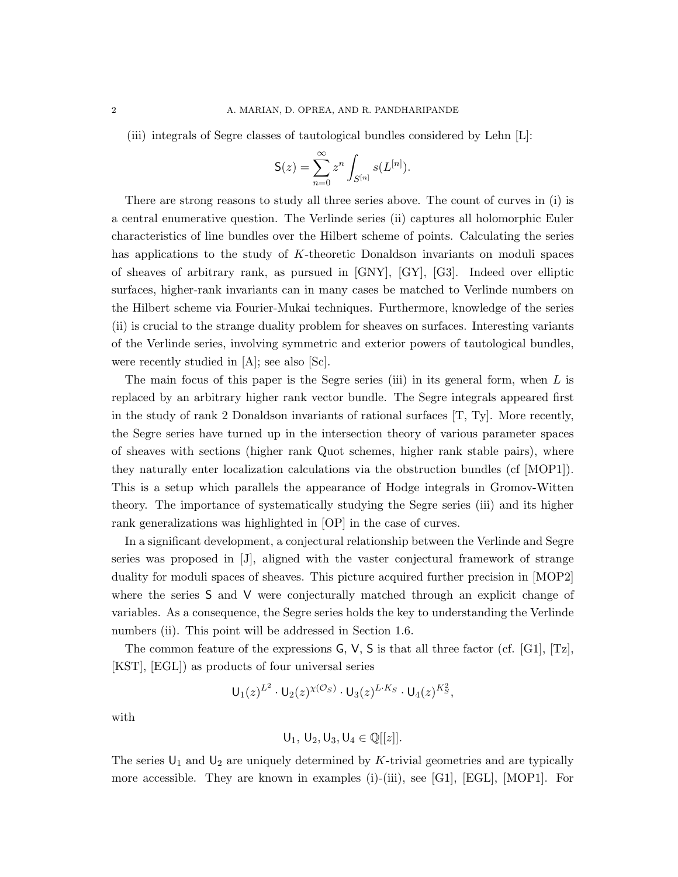(iii) integrals of Segre classes of tautological bundles considered by Lehn [L]:

$$
S(z) = \sum_{n=0}^{\infty} z^n \int_{S^{[n]}} s(L^{[n]}).
$$

There are strong reasons to study all three series above. The count of curves in (i) is a central enumerative question. The Verlinde series (ii) captures all holomorphic Euler characteristics of line bundles over the Hilbert scheme of points. Calculating the series has applications to the study of K-theoretic Donaldson invariants on moduli spaces of sheaves of arbitrary rank, as pursued in [GNY], [GY], [G3]. Indeed over elliptic surfaces, higher-rank invariants can in many cases be matched to Verlinde numbers on the Hilbert scheme via Fourier-Mukai techniques. Furthermore, knowledge of the series (ii) is crucial to the strange duality problem for sheaves on surfaces. Interesting variants of the Verlinde series, involving symmetric and exterior powers of tautological bundles, were recently studied in [A]; see also [Sc].

The main focus of this paper is the Segre series (iii) in its general form, when  $L$  is replaced by an arbitrary higher rank vector bundle. The Segre integrals appeared first in the study of rank 2 Donaldson invariants of rational surfaces  $[T, Ty]$ . More recently, the Segre series have turned up in the intersection theory of various parameter spaces of sheaves with sections (higher rank Quot schemes, higher rank stable pairs), where they naturally enter localization calculations via the obstruction bundles (cf [MOP1]). This is a setup which parallels the appearance of Hodge integrals in Gromov-Witten theory. The importance of systematically studying the Segre series (iii) and its higher rank generalizations was highlighted in [OP] in the case of curves.

In a significant development, a conjectural relationship between the Verlinde and Segre series was proposed in [J], aligned with the vaster conjectural framework of strange duality for moduli spaces of sheaves. This picture acquired further precision in [MOP2] where the series S and V were conjecturally matched through an explicit change of variables. As a consequence, the Segre series holds the key to understanding the Verlinde numbers (ii). This point will be addressed in Section 1.6.

The common feature of the expressions  $G, V, S$  is that all three factor (cf. [G1], [Tz], [KST], [EGL]) as products of four universal series

$$
U_1(z)^{L^2} \cdot U_2(z)^{\chi(\mathcal{O}_S)} \cdot U_3(z)^{L \cdot K_S} \cdot U_4(z)^{K_S^2},
$$

with

$$
\mathsf{U}_1,\,\mathsf{U}_2,\mathsf{U}_3,\mathsf{U}_4\in\mathbb{Q}[[z]].
$$

The series  $U_1$  and  $U_2$  are uniquely determined by K-trivial geometries and are typically more accessible. They are known in examples (i)-(iii), see [G1], [EGL], [MOP1]. For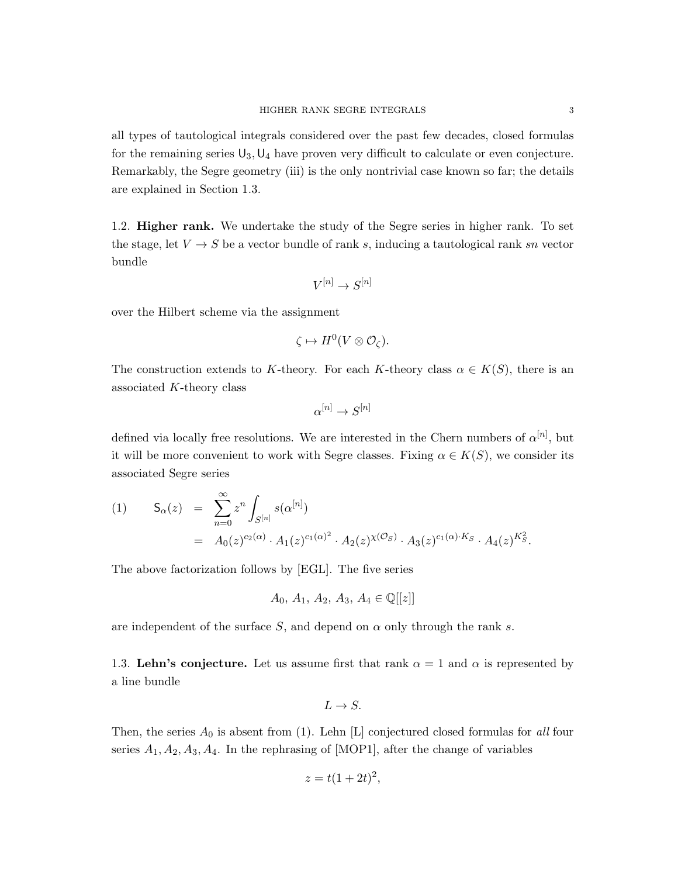all types of tautological integrals considered over the past few decades, closed formulas for the remaining series  $U_3, U_4$  have proven very difficult to calculate or even conjecture. Remarkably, the Segre geometry (iii) is the only nontrivial case known so far; the details are explained in Section 1.3.

1.2. Higher rank. We undertake the study of the Segre series in higher rank. To set the stage, let  $V \to S$  be a vector bundle of rank s, inducing a tautological rank sn vector bundle

$$
V^{[n]} \to S^{[n]}
$$

over the Hilbert scheme via the assignment

$$
\zeta \mapsto H^0(V \otimes \mathcal{O}_{\zeta}).
$$

The construction extends to K-theory. For each K-theory class  $\alpha \in K(S)$ , there is an associated K-theory class

$$
\alpha^{[n]}\to S^{[n]}
$$

defined via locally free resolutions. We are interested in the Chern numbers of  $\alpha^{[n]}$ , but it will be more convenient to work with Segre classes. Fixing  $\alpha \in K(S)$ , we consider its associated Segre series

(1) 
$$
S_{\alpha}(z) = \sum_{n=0}^{\infty} z^n \int_{S^{[n]}} s(\alpha^{[n]})
$$
  
=  $A_0(z)^{c_2(\alpha)} \cdot A_1(z)^{c_1(\alpha)^2} \cdot A_2(z)^{\chi(\mathcal{O}_S)} \cdot A_3(z)^{c_1(\alpha) \cdot K_S} \cdot A_4(z)^{K_S^2}.$ 

The above factorization follows by [EGL]. The five series

$$
A_0, A_1, A_2, A_3, A_4 \in \mathbb{Q}[[z]]
$$

are independent of the surface S, and depend on  $\alpha$  only through the rank s.

1.3. Lehn's conjecture. Let us assume first that rank  $\alpha = 1$  and  $\alpha$  is represented by a line bundle

$$
L \to S.
$$

Then, the series  $A_0$  is absent from (1). Lehn [L] conjectured closed formulas for all four series  $A_1, A_2, A_3, A_4$ . In the rephrasing of [MOP1], after the change of variables

$$
z = t(1+2t)^2,
$$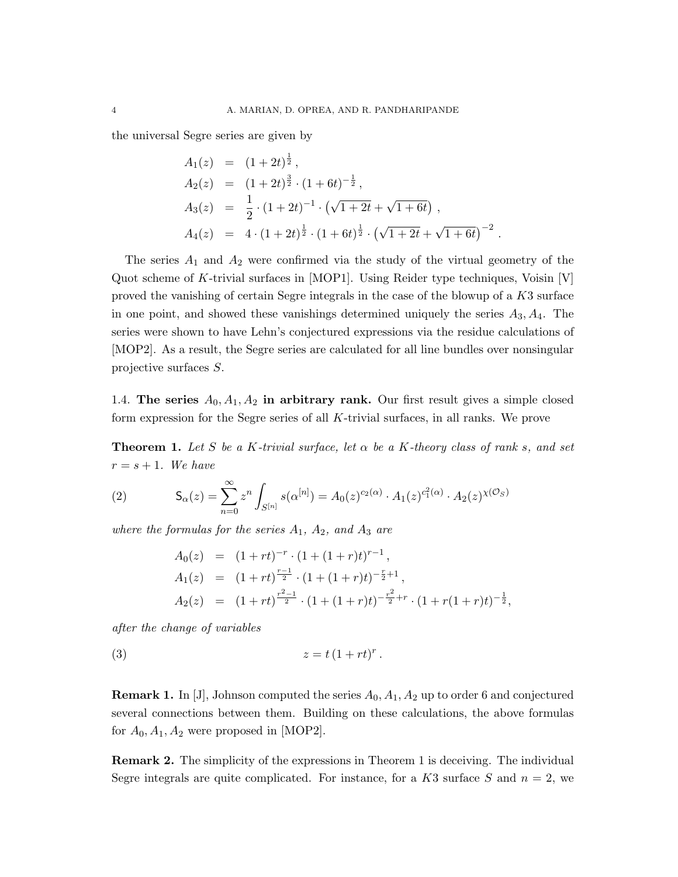the universal Segre series are given by

$$
A_1(z) = (1+2t)^{\frac{1}{2}},
$$
  
\n
$$
A_2(z) = (1+2t)^{\frac{3}{2}} \cdot (1+6t)^{-\frac{1}{2}},
$$
  
\n
$$
A_3(z) = \frac{1}{2} \cdot (1+2t)^{-1} \cdot (\sqrt{1+2t} + \sqrt{1+6t}),
$$
  
\n
$$
A_4(z) = 4 \cdot (1+2t)^{\frac{1}{2}} \cdot (1+6t)^{\frac{1}{2}} \cdot (\sqrt{1+2t} + \sqrt{1+6t})^{-2}
$$

.

The series  $A_1$  and  $A_2$  were confirmed via the study of the virtual geometry of the Quot scheme of K-trivial surfaces in [MOP1]. Using Reider type techniques, Voisin [V] proved the vanishing of certain Segre integrals in the case of the blowup of a K3 surface in one point, and showed these vanishings determined uniquely the series  $A_3, A_4$ . The series were shown to have Lehn's conjectured expressions via the residue calculations of [MOP2]. As a result, the Segre series are calculated for all line bundles over nonsingular projective surfaces S.

1.4. The series  $A_0, A_1, A_2$  in arbitrary rank. Our first result gives a simple closed form expression for the Segre series of all K-trivial surfaces, in all ranks. We prove

**Theorem 1.** Let S be a K-trivial surface, let  $\alpha$  be a K-theory class of rank s, and set  $r = s + 1$ . We have

(2) 
$$
\mathsf{S}_{\alpha}(z) = \sum_{n=0}^{\infty} z^n \int_{S^{[n]}} s(\alpha^{[n]}) = A_0(z)^{c_2(\alpha)} \cdot A_1(z)^{c_1^2(\alpha)} \cdot A_2(z)^{\chi(\mathcal{O}_S)}
$$

where the formulas for the series  $A_1$ ,  $A_2$ , and  $A_3$  are

$$
A_0(z) = (1 + rt)^{-r} \cdot (1 + (1 + r)t)^{r-1},
$$
  
\n
$$
A_1(z) = (1 + rt)^{\frac{r-1}{2}} \cdot (1 + (1 + r)t)^{-\frac{r}{2}+1},
$$
  
\n
$$
A_2(z) = (1 + rt)^{\frac{r^2-1}{2}} \cdot (1 + (1 + r)t)^{-\frac{r^2}{2}+r} \cdot (1 + r(1 + r)t)^{-\frac{1}{2}},
$$

after the change of variables

$$
(3) \t\t\t z = t (1 + rt)^r.
$$

**Remark 1.** In [J], Johnson computed the series  $A_0$ ,  $A_1$ ,  $A_2$  up to order 6 and conjectured several connections between them. Building on these calculations, the above formulas for  $A_0, A_1, A_2$  were proposed in [MOP2].

Remark 2. The simplicity of the expressions in Theorem 1 is deceiving. The individual Segre integrals are quite complicated. For instance, for a  $K3$  surface S and  $n = 2$ , we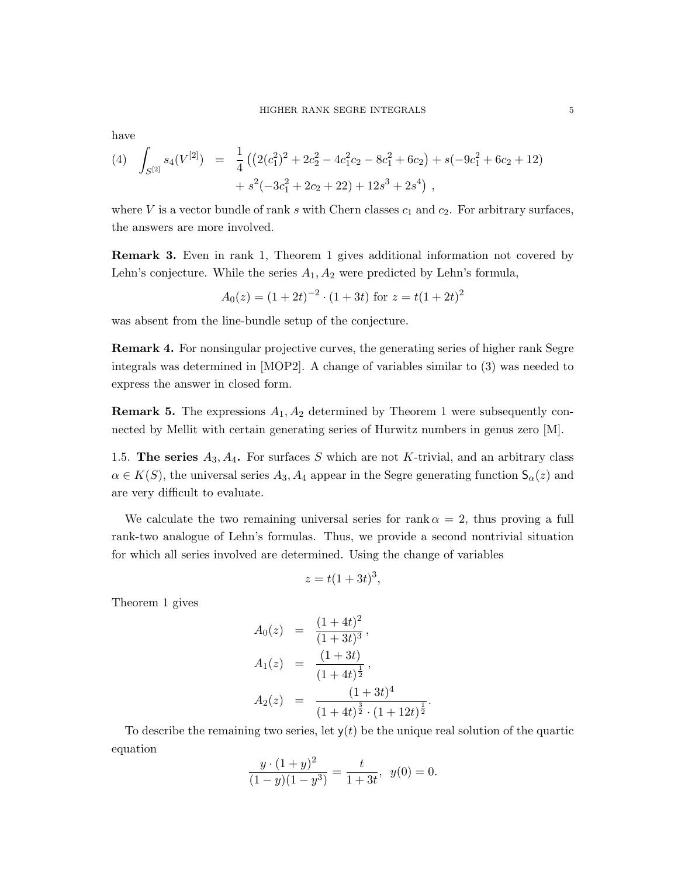have

(4) 
$$
\int_{S^{[2]}} s_4(V^{[2]}) = \frac{1}{4} \left( \left( 2(c_1^2)^2 + 2c_2^2 - 4c_1^2c_2 - 8c_1^2 + 6c_2 \right) + s(-9c_1^2 + 6c_2 + 12) + s^2(-3c_1^2 + 2c_2 + 22) + 12s^3 + 2s^4 \right),
$$

where V is a vector bundle of rank s with Chern classes  $c_1$  and  $c_2$ . For arbitrary surfaces, the answers are more involved.

Remark 3. Even in rank 1, Theorem 1 gives additional information not covered by Lehn's conjecture. While the series  $A_1, A_2$  were predicted by Lehn's formula,

$$
A_0(z) = (1+2t)^{-2} \cdot (1+3t)
$$
 for  $z = t(1+2t)^2$ 

was absent from the line-bundle setup of the conjecture.

Remark 4. For nonsingular projective curves, the generating series of higher rank Segre integrals was determined in [MOP2]. A change of variables similar to (3) was needed to express the answer in closed form.

**Remark 5.** The expressions  $A_1$ ,  $A_2$  determined by Theorem 1 were subsequently connected by Mellit with certain generating series of Hurwitz numbers in genus zero [M].

1.5. The series  $A_3, A_4$ . For surfaces S which are not K-trivial, and an arbitrary class  $\alpha \in K(S)$ , the universal series  $A_3, A_4$  appear in the Segre generating function  $\mathsf{S}_{\alpha}(z)$  and are very difficult to evaluate.

We calculate the two remaining universal series for rank  $\alpha = 2$ , thus proving a full rank-two analogue of Lehn's formulas. Thus, we provide a second nontrivial situation for which all series involved are determined. Using the change of variables

$$
z = t(1+3t)^3,
$$

Theorem 1 gives

$$
A_0(z) = \frac{(1+4t)^2}{(1+3t)^3},
$$
  
\n
$$
A_1(z) = \frac{(1+3t)}{(1+4t)^{\frac{1}{2}}},
$$
  
\n
$$
A_2(z) = \frac{(1+3t)^4}{(1+4t)^{\frac{3}{2}} \cdot (1+12t)^{\frac{1}{2}}}
$$

To describe the remaining two series, let  $y(t)$  be the unique real solution of the quartic equation

.

$$
\frac{y \cdot (1+y)^2}{(1-y)(1-y^3)} = \frac{t}{1+3t}, \ \ y(0) = 0.
$$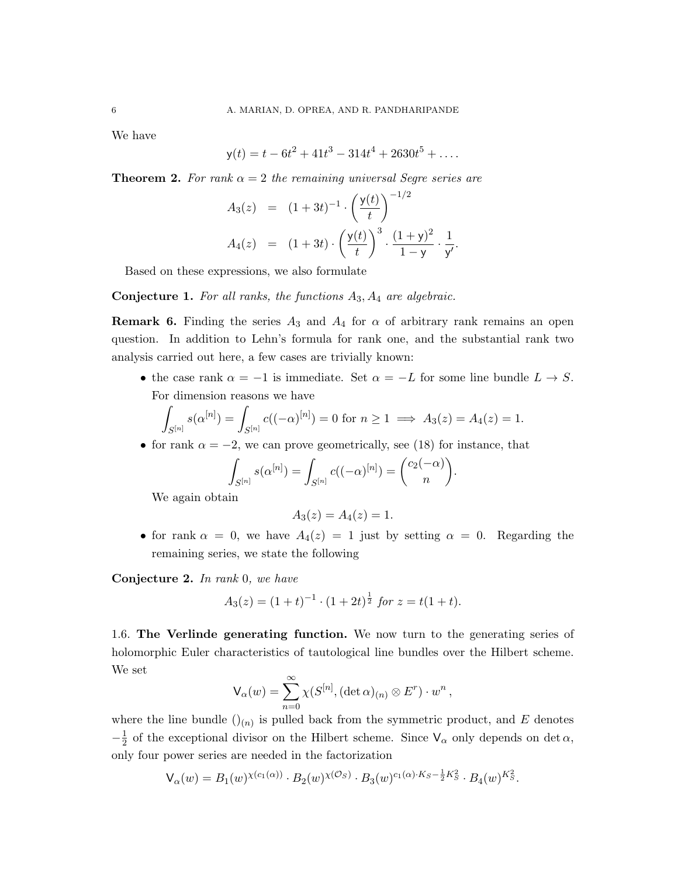We have

$$
y(t) = t - 6t^2 + 41t^3 - 314t^4 + 2630t^5 + \dots
$$

**Theorem 2.** For rank  $\alpha = 2$  the remaining universal Segre series are

$$
A_3(z) = (1+3t)^{-1} \cdot \left(\frac{y(t)}{t}\right)^{-1/2}
$$
  

$$
A_4(z) = (1+3t) \cdot \left(\frac{y(t)}{t}\right)^3 \cdot \frac{(1+y)^2}{1-y} \cdot \frac{1}{y'}.
$$

Based on these expressions, we also formulate

**Conjecture 1.** For all ranks, the functions  $A_3$ ,  $A_4$  are algebraic.

**Remark 6.** Finding the series  $A_3$  and  $A_4$  for  $\alpha$  of arbitrary rank remains an open question. In addition to Lehn's formula for rank one, and the substantial rank two analysis carried out here, a few cases are trivially known:

• the case rank  $\alpha = -1$  is immediate. Set  $\alpha = -L$  for some line bundle  $L \to S$ . For dimension reasons we have

$$
\int_{S^{[n]}} s(\alpha^{[n]}) = \int_{S^{[n]}} c((-\alpha)^{[n]}) = 0 \text{ for } n \ge 1 \implies A_3(z) = A_4(z) = 1.
$$

• for rank  $\alpha = -2$ , we can prove geometrically, see (18) for instance, that

$$
\int_{S^{[n]}} s(\alpha^{[n]}) = \int_{S^{[n]}} c((-\alpha)^{[n]}) = {c_2(-\alpha) \choose n}
$$

We again obtain

$$
A_3(z) = A_4(z) = 1.
$$

• for rank  $\alpha = 0$ , we have  $A_4(z) = 1$  just by setting  $\alpha = 0$ . Regarding the remaining series, we state the following

.

Conjecture 2. In rank 0, we have

$$
A_3(z) = (1+t)^{-1} \cdot (1+2t)^{\frac{1}{2}} \text{ for } z = t(1+t).
$$

1.6. The Verlinde generating function. We now turn to the generating series of holomorphic Euler characteristics of tautological line bundles over the Hilbert scheme. We set

$$
\mathsf{V}_{\alpha}(w) = \sum_{n=0}^{\infty} \chi(S^{[n]}, (\det \alpha)_{(n)} \otimes E^r) \cdot w^n ,
$$

where the line bundle  $\left(\right)_{(n)}$  is pulled back from the symmetric product, and E denotes  $-\frac{1}{2}$  $\frac{1}{2}$  of the exceptional divisor on the Hilbert scheme. Since  $V_{\alpha}$  only depends on det  $\alpha$ , only four power series are needed in the factorization

$$
\mathsf{V}_{\alpha}(w) = B_1(w)^{\chi(c_1(\alpha))} \cdot B_2(w)^{\chi(\mathcal{O}_S)} \cdot B_3(w)^{c_1(\alpha) \cdot K_S - \frac{1}{2}K_S^2} \cdot B_4(w)^{K_S^2}.
$$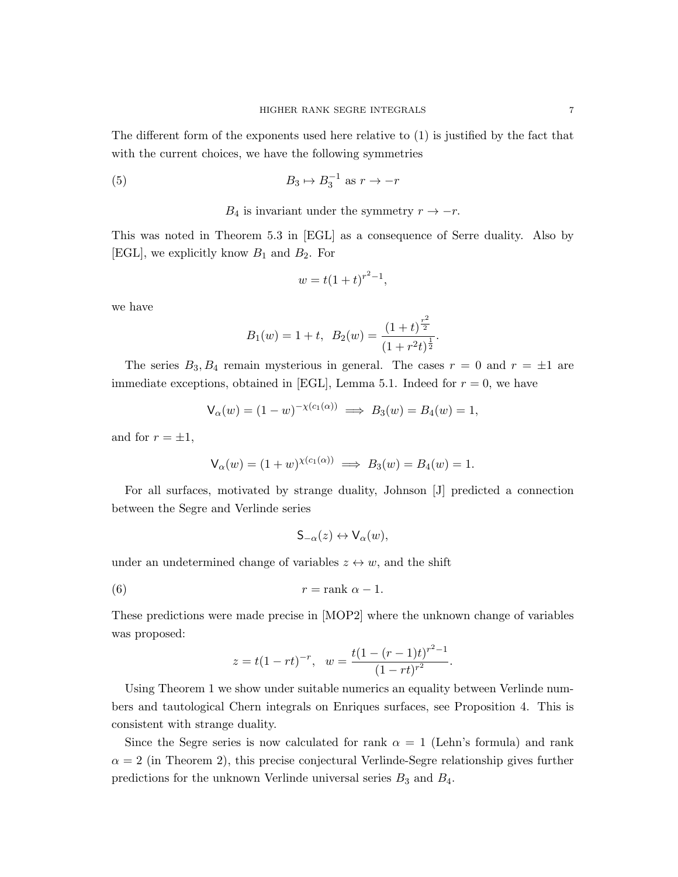The different form of the exponents used here relative to (1) is justified by the fact that with the current choices, we have the following symmetries

(5) 
$$
B_3 \mapsto B_3^{-1} \text{ as } r \to -r
$$

 $B_4$  is invariant under the symmetry  $r \to -r$ .

This was noted in Theorem 5.3 in [EGL] as a consequence of Serre duality. Also by [EGL], we explicitly know  $B_1$  and  $B_2$ . For

$$
w = t(1+t)^{r^2-1},
$$

we have

$$
B_1(w) = 1 + t
$$
,  $B_2(w) = \frac{(1+t)^{\frac{r^2}{2}}}{(1+r^2t)^{\frac{1}{2}}}.$ 

The series  $B_3, B_4$  remain mysterious in general. The cases  $r = 0$  and  $r = \pm 1$  are immediate exceptions, obtained in [EGL], Lemma 5.1. Indeed for  $r = 0$ , we have

$$
\mathsf{V}_{\alpha}(w) = (1 - w)^{-\chi(c_1(\alpha))} \implies B_3(w) = B_4(w) = 1,
$$

and for  $r = \pm 1$ ,

$$
V_{\alpha}(w) = (1 + w)^{\chi(c_1(\alpha))} \implies B_3(w) = B_4(w) = 1.
$$

For all surfaces, motivated by strange duality, Johnson [J] predicted a connection between the Segre and Verlinde series

$$
\mathsf{S}_{-\alpha}(z) \leftrightarrow \mathsf{V}_{\alpha}(w),
$$

under an undetermined change of variables  $z \leftrightarrow w$ , and the shift

$$
r = \text{rank } \alpha - 1.
$$

These predictions were made precise in [MOP2] where the unknown change of variables was proposed:

$$
z = t(1 - rt)^{-r}, \quad w = \frac{t(1 - (r - 1)t)^{r^2 - 1}}{(1 - rt)^{r^2}}.
$$

Using Theorem 1 we show under suitable numerics an equality between Verlinde numbers and tautological Chern integrals on Enriques surfaces, see Proposition 4. This is consistent with strange duality.

Since the Segre series is now calculated for rank  $\alpha = 1$  (Lehn's formula) and rank  $\alpha = 2$  (in Theorem 2), this precise conjectural Verlinde-Segre relationship gives further predictions for the unknown Verlinde universal series  $B_3$  and  $B_4$ .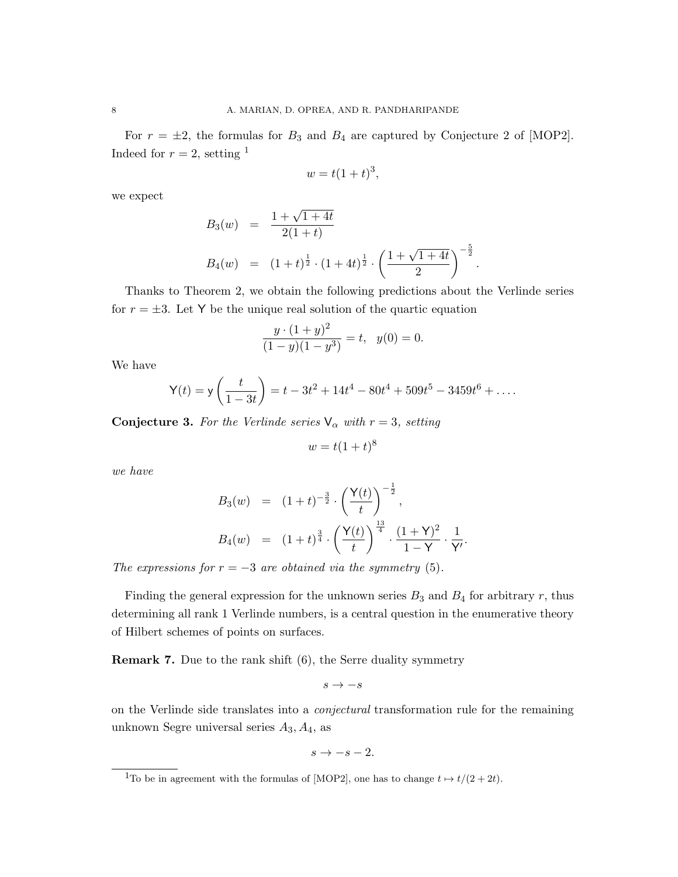For  $r = \pm 2$ , the formulas for  $B_3$  and  $B_4$  are captured by Conjecture 2 of [MOP2]. Indeed for  $r = 2$ , setting <sup>1</sup>

$$
w = t(1+t)^3,
$$

we expect

$$
B_3(w) = \frac{1 + \sqrt{1 + 4t}}{2(1 + t)}
$$
  
\n
$$
B_4(w) = (1 + t)^{\frac{1}{2}} \cdot (1 + 4t)^{\frac{1}{2}} \cdot \left(\frac{1 + \sqrt{1 + 4t}}{2}\right)^{-\frac{5}{2}}.
$$

Thanks to Theorem 2, we obtain the following predictions about the Verlinde series for  $r = \pm 3$ . Let Y be the unique real solution of the quartic equation

$$
\frac{y \cdot (1+y)^2}{(1-y)(1-y^3)} = t, \ \ y(0) = 0.
$$

We have

$$
\mathsf{Y}(t) = \mathsf{y}\left(\frac{t}{1-3t}\right) = t - 3t^2 + 14t^4 - 80t^4 + 509t^5 - 3459t^6 + \dots
$$

**Conjecture 3.** For the Verlinde series  $\mathsf{V}_{\alpha}$  with  $r = 3$ , setting

$$
w = t(1+t)^8
$$

we have

$$
B_3(w) = (1+t)^{-\frac{3}{2}} \cdot \left(\frac{Y(t)}{t}\right)^{-\frac{1}{2}},
$$
  
\n
$$
B_4(w) = (1+t)^{\frac{3}{4}} \cdot \left(\frac{Y(t)}{t}\right)^{\frac{13}{4}} \cdot \frac{(1+Y)^2}{1-Y} \cdot \frac{1}{Y'}.
$$

The expressions for  $r = -3$  are obtained via the symmetry (5).

Finding the general expression for the unknown series  $B_3$  and  $B_4$  for arbitrary r, thus determining all rank 1 Verlinde numbers, is a central question in the enumerative theory of Hilbert schemes of points on surfaces.

Remark 7. Due to the rank shift (6), the Serre duality symmetry

$$
s \to -s
$$

on the Verlinde side translates into a conjectural transformation rule for the remaining unknown Segre universal series  $A_3, A_4$ , as

$$
s \to -s-2.
$$

<sup>&</sup>lt;sup>1</sup>To be in agreement with the formulas of [MOP2], one has to change  $t \mapsto t/(2 + 2t)$ .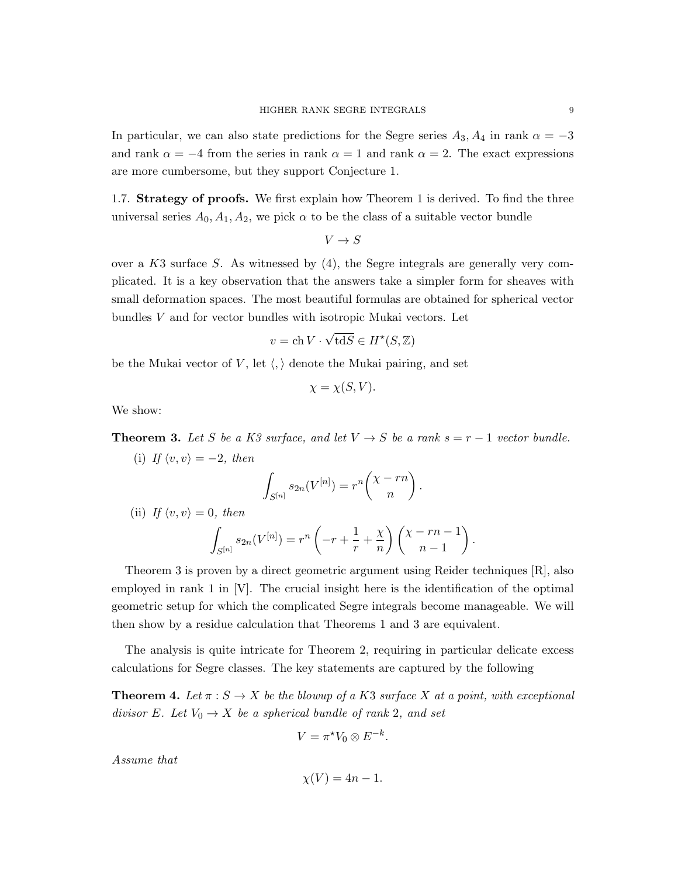In particular, we can also state predictions for the Segre series  $A_3, A_4$  in rank  $\alpha = -3$ and rank  $\alpha = -4$  from the series in rank  $\alpha = 1$  and rank  $\alpha = 2$ . The exact expressions are more cumbersome, but they support Conjecture 1.

1.7. Strategy of proofs. We first explain how Theorem 1 is derived. To find the three universal series  $A_0, A_1, A_2$ , we pick  $\alpha$  to be the class of a suitable vector bundle

$$
V \to S
$$

over a  $K3$  surface S. As witnessed by  $(4)$ , the Segre integrals are generally very complicated. It is a key observation that the answers take a simpler form for sheaves with small deformation spaces. The most beautiful formulas are obtained for spherical vector bundles V and for vector bundles with isotropic Mukai vectors. Let

$$
v = \operatorname{ch} V \cdot \sqrt{\operatorname{td} S} \in H^{\star}(S, \mathbb{Z})
$$

be the Mukai vector of V, let  $\langle , \rangle$  denote the Mukai pairing, and set

$$
\chi = \chi(S, V).
$$

We show:

**Theorem 3.** Let S be a K3 surface, and let  $V \rightarrow S$  be a rank  $s = r - 1$  vector bundle.

(i) If  $\langle v, v \rangle = -2$ , then Z  $S^{[n]}$  $s_{2n}(V^{[n]}) = r^n\left(\frac{\chi - rn}{n}\right)$ n  $\big).$ (ii) If  $\langle v, v \rangle = 0$ , then Z  $S^{[n]}$  $s_{2n}(V^{[n]}) = r^n \left(-r + \frac{1}{r}\right)$  $\frac{1}{r} + \frac{\chi}{n}$ n  $\chi$  - rn – 1  $n-1$  $\big).$ 

Theorem 3 is proven by a direct geometric argument using Reider techniques [R], also employed in rank  $1$  in  $[V]$ . The crucial insight here is the identification of the optimal geometric setup for which the complicated Segre integrals become manageable. We will then show by a residue calculation that Theorems 1 and 3 are equivalent.

The analysis is quite intricate for Theorem 2, requiring in particular delicate excess calculations for Segre classes. The key statements are captured by the following

**Theorem 4.** Let  $\pi: S \to X$  be the blowup of a K3 surface X at a point, with exceptional divisor E. Let  $V_0 \rightarrow X$  be a spherical bundle of rank 2, and set

$$
V = \pi^* V_0 \otimes E^{-k}.
$$

Assume that

$$
\chi(V) = 4n - 1.
$$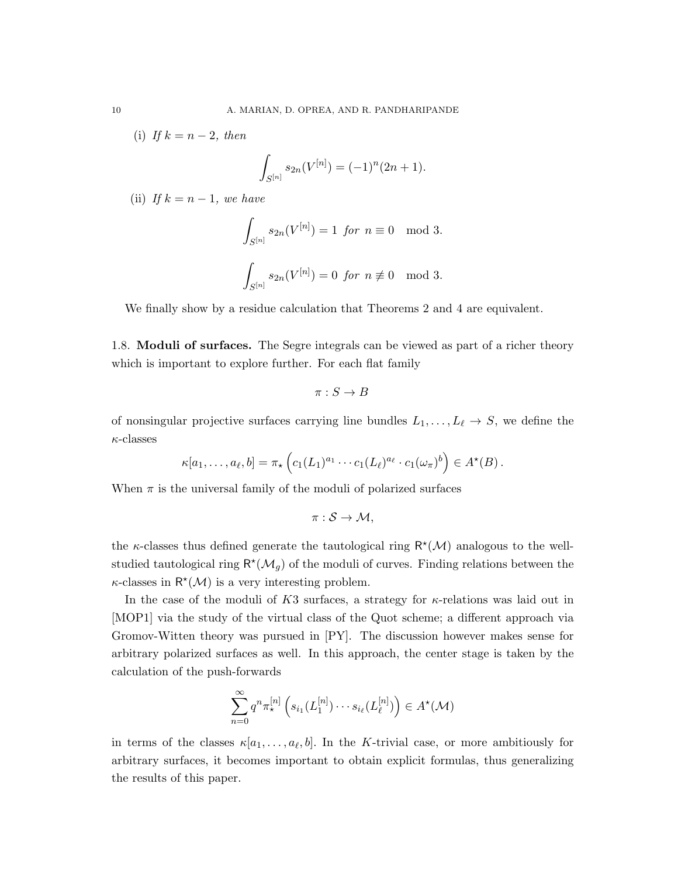(i) If  $k = n - 2$ , then

$$
\int_{S^{[n]}} s_{2n}(V^{[n]}) = (-1)^n (2n+1).
$$

(ii) If  $k = n - 1$ , we have

$$
\int_{S^{[n]}} s_{2n}(V^{[n]}) = 1 \text{ for } n \equiv 0 \mod 3.
$$
  

$$
\int_{S^{[n]}} s_{2n}(V^{[n]}) = 0 \text{ for } n \not\equiv 0 \mod 3.
$$

We finally show by a residue calculation that Theorems 2 and 4 are equivalent.

1.8. Moduli of surfaces. The Segre integrals can be viewed as part of a richer theory which is important to explore further. For each flat family

$$
\pi: S \to B
$$

of nonsingular projective surfaces carrying line bundles  $L_1, \ldots, L_\ell \to S$ , we define the  $\kappa$ -classes

$$
\kappa[a_1,\ldots,a_\ell,b]=\pi_\star\left(c_1(L_1)^{a_1}\cdots c_1(L_\ell)^{a_\ell}\cdot c_1(\omega_\pi)^b\right)\in A^\star(B).
$$

When  $\pi$  is the universal family of the moduli of polarized surfaces

 $\pi : \mathcal{S} \to \mathcal{M}$ ,

the  $\kappa$ -classes thus defined generate the tautological ring  $R^{\star}(\mathcal{M})$  analogous to the wellstudied tautological ring  $\mathsf{R}^*(\mathcal{M}_g)$  of the moduli of curves. Finding relations between the  $\kappa$ -classes in  $\mathsf{R}^*(\mathcal{M})$  is a very interesting problem.

In the case of the moduli of  $K3$  surfaces, a strategy for  $\kappa$ -relations was laid out in [MOP1] via the study of the virtual class of the Quot scheme; a different approach via Gromov-Witten theory was pursued in [PY]. The discussion however makes sense for arbitrary polarized surfaces as well. In this approach, the center stage is taken by the calculation of the push-forwards

$$
\sum_{n=0}^{\infty} q^n \pi_{\star}^{[n]} \left( s_{i_1}(L_1^{[n]}) \cdots s_{i_\ell}(L_\ell^{[n]}) \right) \in A^{\star}(\mathcal{M})
$$

in terms of the classes  $\kappa[a_1,\ldots,a_\ell,b]$ . In the K-trivial case, or more ambitiously for arbitrary surfaces, it becomes important to obtain explicit formulas, thus generalizing the results of this paper.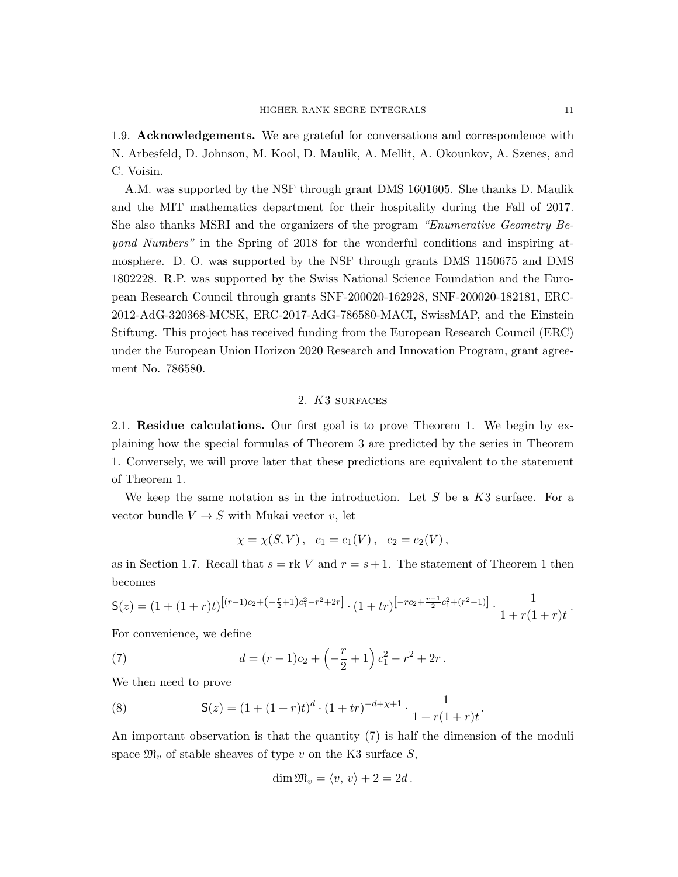1.9. Acknowledgements. We are grateful for conversations and correspondence with N. Arbesfeld, D. Johnson, M. Kool, D. Maulik, A. Mellit, A. Okounkov, A. Szenes, and C. Voisin.

A.M. was supported by the NSF through grant DMS 1601605. She thanks D. Maulik and the MIT mathematics department for their hospitality during the Fall of 2017. She also thanks MSRI and the organizers of the program "Enumerative Geometry Beyond Numbers" in the Spring of 2018 for the wonderful conditions and inspiring atmosphere. D. O. was supported by the NSF through grants DMS 1150675 and DMS 1802228. R.P. was supported by the Swiss National Science Foundation and the European Research Council through grants SNF-200020-162928, SNF-200020-182181, ERC-2012-AdG-320368-MCSK, ERC-2017-AdG-786580-MACI, SwissMAP, and the Einstein Stiftung. This project has received funding from the European Research Council (ERC) under the European Union Horizon 2020 Research and Innovation Program, grant agreement No. 786580.

## 2. K3 surfaces

2.1. Residue calculations. Our first goal is to prove Theorem 1. We begin by explaining how the special formulas of Theorem 3 are predicted by the series in Theorem 1. Conversely, we will prove later that these predictions are equivalent to the statement of Theorem 1.

We keep the same notation as in the introduction. Let  $S$  be a  $K3$  surface. For a vector bundle  $V \rightarrow S$  with Mukai vector v, let

$$
\chi = \chi(S, V), \quad c_1 = c_1(V), \quad c_2 = c_2(V),
$$

as in Section 1.7. Recall that  $s = \text{rk } V$  and  $r = s + 1$ . The statement of Theorem 1 then becomes

$$
\mathsf{S}(z) = (1 + (1+r)t)^{[(r-1)c_2 + (-\frac{r}{2}+1)c_1^2 - r^2 + 2r]} \cdot (1+tr)^{[-rc_2 + \frac{r-1}{2}c_1^2 + (r^2-1)]} \cdot \frac{1}{1+r(1+r)t}.
$$

For convenience, we define

(7) 
$$
d = (r-1)c_2 + \left(-\frac{r}{2} + 1\right)c_1^2 - r^2 + 2r.
$$

We then need to prove

(8) 
$$
\mathsf{S}(z) = (1 + (1+r)t)^d \cdot (1+tr)^{-d+x+1} \cdot \frac{1}{1+r(1+r)t}.
$$

An important observation is that the quantity (7) is half the dimension of the moduli space  $\mathfrak{M}_v$  of stable sheaves of type v on the K3 surface S,

$$
\dim \mathfrak{M}_v = \langle v, v \rangle + 2 = 2d.
$$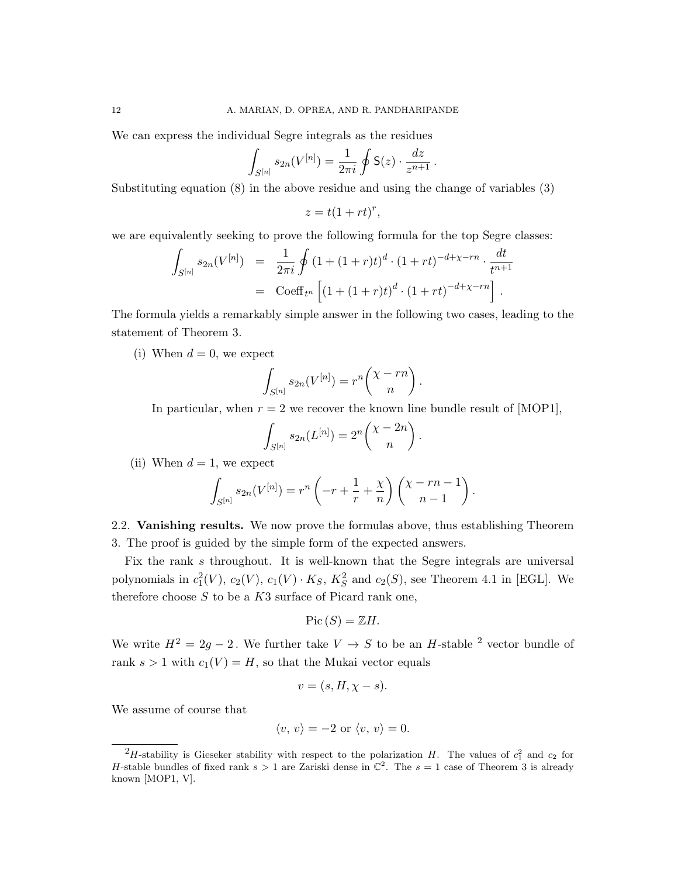We can express the individual Segre integrals as the residues

$$
\int_{S^{[n]}} s_{2n}(V^{[n]}) = \frac{1}{2\pi i} \oint \mathsf{S}(z) \cdot \frac{dz}{z^{n+1}}.
$$

Substituting equation (8) in the above residue and using the change of variables (3)

$$
z = t(1 + rt)^r,
$$

we are equivalently seeking to prove the following formula for the top Segre classes:

$$
\int_{S^{[n]}} s_{2n}(V^{[n]}) = \frac{1}{2\pi i} \oint (1 + (1+r)t)^d \cdot (1+rt)^{-d+\chi-rn} \cdot \frac{dt}{t^{n+1}}
$$
  
= Coeff<sub>tr</sub>  $\left[ (1 + (1+r)t)^d \cdot (1+rt)^{-d+\chi-rn} \right].$ 

The formula yields a remarkably simple answer in the following two cases, leading to the statement of Theorem 3.

(i) When  $d = 0$ , we expect

$$
\int_{S^{[n]}} s_{2n}(V^{[n]}) = r^n {\binom{\chi - rn}{n}}.
$$

In particular, when  $r = 2$  we recover the known line bundle result of [MOP1],

.

$$
\int_{S^{[n]}} s_{2n}(L^{[n]}) = 2^n {\binom{X - 2n}{n}}
$$

(ii) When  $d = 1$ , we expect

$$
\int_{S^{[n]}} s_{2n}(V^{[n]}) = r^n \left(-r + \frac{1}{r} + \frac{\chi}{n}\right) \binom{\chi - rn - 1}{n-1}.
$$

2.2. Vanishing results. We now prove the formulas above, thus establishing Theorem 3. The proof is guided by the simple form of the expected answers.

Fix the rank s throughout. It is well-known that the Segre integrals are universal polynomials in  $c_1^2(V)$ ,  $c_2(V)$ ,  $c_1(V) \cdot K_S$ ,  $K_S^2$  and  $c_2(S)$ , see Theorem 4.1 in [EGL]. We therefore choose  $S$  to be a  $K3$  surface of Picard rank one,

$$
Pic(S) = \mathbb{Z}H.
$$

We write  $H^2 = 2g - 2$ . We further take  $V \to S$  to be an H-stable <sup>2</sup> vector bundle of rank  $s > 1$  with  $c_1(V) = H$ , so that the Mukai vector equals

$$
v = (s, H, \chi - s).
$$

We assume of course that

$$
\langle v, v \rangle = -2 \text{ or } \langle v, v \rangle = 0.
$$

<sup>&</sup>lt;sup>2</sup>H-stability is Gieseker stability with respect to the polarization H. The values of  $c_1^2$  and  $c_2$  for H-stable bundles of fixed rank  $s > 1$  are Zariski dense in  $\mathbb{C}^2$ . The  $s = 1$  case of Theorem 3 is already known [MOP1, V].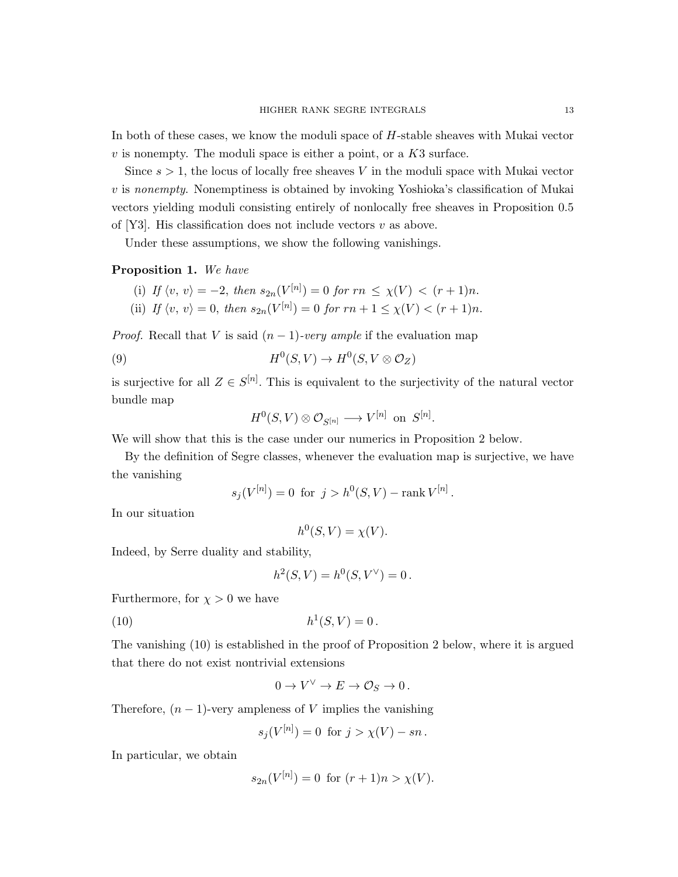In both of these cases, we know the moduli space of H-stable sheaves with Mukai vector  $v$  is nonempty. The moduli space is either a point, or a  $K3$  surface.

Since  $s > 1$ , the locus of locally free sheaves V in the moduli space with Mukai vector v is nonempty. Nonemptiness is obtained by invoking Yoshioka's classification of Mukai vectors yielding moduli consisting entirely of nonlocally free sheaves in Proposition 0.5 of [Y3]. His classification does not include vectors  $v$  as above.

Under these assumptions, we show the following vanishings.

Proposition 1. We have

- (i) If  $\langle v, v \rangle = -2$ , then  $s_{2n}(V^{[n]}) = 0$  for  $rn \leq \chi(V) < (r+1)n$ .
- (ii) If  $\langle v, v \rangle = 0$ , then  $s_{2n}(V^{[n]}) = 0$  for  $rn + 1 \le \chi(V) < (r + 1)n$ .

*Proof.* Recall that V is said  $(n-1)$ -very ample if the evaluation map

(9) 
$$
H^0(S, V) \to H^0(S, V \otimes \mathcal{O}_Z)
$$

is surjective for all  $Z \in S^{[n]}$ . This is equivalent to the surjectivity of the natural vector bundle map

$$
H^0(S,V)\otimes \mathcal{O}_{S^{[n]}}\longrightarrow V^{[n]}\ \ \text{on}\ \ S^{[n]}.
$$

We will show that this is the case under our numerics in Proposition 2 below.

By the definition of Segre classes, whenever the evaluation map is surjective, we have the vanishing

$$
s_j(V^{[n]}) = 0
$$
 for  $j > h^0(S, V) - \text{rank } V^{[n]}$ .

In our situation

$$
h^0(S, V) = \chi(V).
$$

Indeed, by Serre duality and stability,

$$
h^{2}(S, V) = h^{0}(S, V^{\vee}) = 0.
$$

Furthermore, for  $\chi > 0$  we have

(10) 
$$
h^1(S, V) = 0.
$$

The vanishing (10) is established in the proof of Proposition 2 below, where it is argued that there do not exist nontrivial extensions

$$
0 \to V^\vee \to E \to \mathcal{O}_S \to 0 \, .
$$

Therefore,  $(n-1)$ -very ampleness of V implies the vanishing

$$
s_j(V^{[n]}) = 0
$$
 for  $j > \chi(V) - sn$ .

In particular, we obtain

$$
s_{2n}(V^{[n]}) = 0 \text{ for } (r+1)n > \chi(V).
$$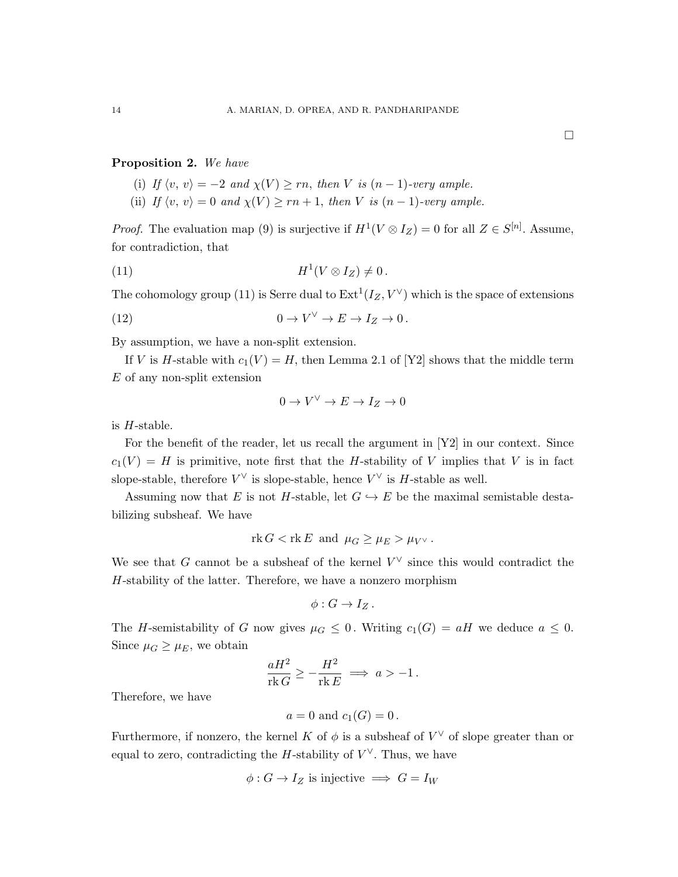## Proposition 2. We have

- (i) If  $\langle v, v \rangle = -2$  and  $\chi(V) > rn$ , then V is  $(n-1)$ -very ample.
- (ii) If  $\langle v, v \rangle = 0$  and  $\chi(V) \ge rn + 1$ , then V is  $(n 1)$ -very ample.

*Proof.* The evaluation map (9) is surjective if  $H^1(V \otimes I_Z) = 0$  for all  $Z \in S^{[n]}$ . Assume, for contradiction, that

$$
(11) \t\t\t H1(V \otimes I_Z) \neq 0.
$$

The cohomology group (11) is Serre dual to  $\text{Ext}^1(I_Z, V^{\vee})$  which is the space of extensions

(12) 
$$
0 \to V^{\vee} \to E \to I_Z \to 0.
$$

By assumption, we have a non-split extension.

If V is H-stable with  $c_1(V) = H$ , then Lemma 2.1 of [Y2] shows that the middle term  $E$  of any non-split extension

$$
0 \to V^\vee \to E \to I_Z \to 0
$$

is H-stable.

For the benefit of the reader, let us recall the argument in [Y2] in our context. Since  $c_1(V) = H$  is primitive, note first that the H-stability of V implies that V is in fact slope-stable, therefore  $V^{\vee}$  is slope-stable, hence  $V^{\vee}$  is H-stable as well.

Assuming now that E is not H-stable, let  $G \hookrightarrow E$  be the maximal semistable destabilizing subsheaf. We have

$$
rk G < rk E \text{ and } \mu_G \ge \mu_E > \mu_{V^\vee}.
$$

We see that G cannot be a subsheaf of the kernel  $V^{\vee}$  since this would contradict the H-stability of the latter. Therefore, we have a nonzero morphism

$$
\phi: G \to I_Z.
$$

The H-semistability of G now gives  $\mu_G \leq 0$ . Writing  $c_1(G) = aH$  we deduce  $a \leq 0$ . Since  $\mu_G \geq \mu_E$ , we obtain

$$
\frac{aH^2}{\text{rk}\,G} \ge -\frac{H^2}{\text{rk}\,E} \implies a > -1.
$$

Therefore, we have

$$
a = 0
$$
 and  $c_1(G) = 0$ .

Furthermore, if nonzero, the kernel K of  $\phi$  is a subsheaf of  $V^{\vee}$  of slope greater than or equal to zero, contradicting the *H*-stability of  $V^{\vee}$ . Thus, we have

$$
\phi: G \to I_Z
$$
 is injective  $\implies G = I_W$ 

 $\Box$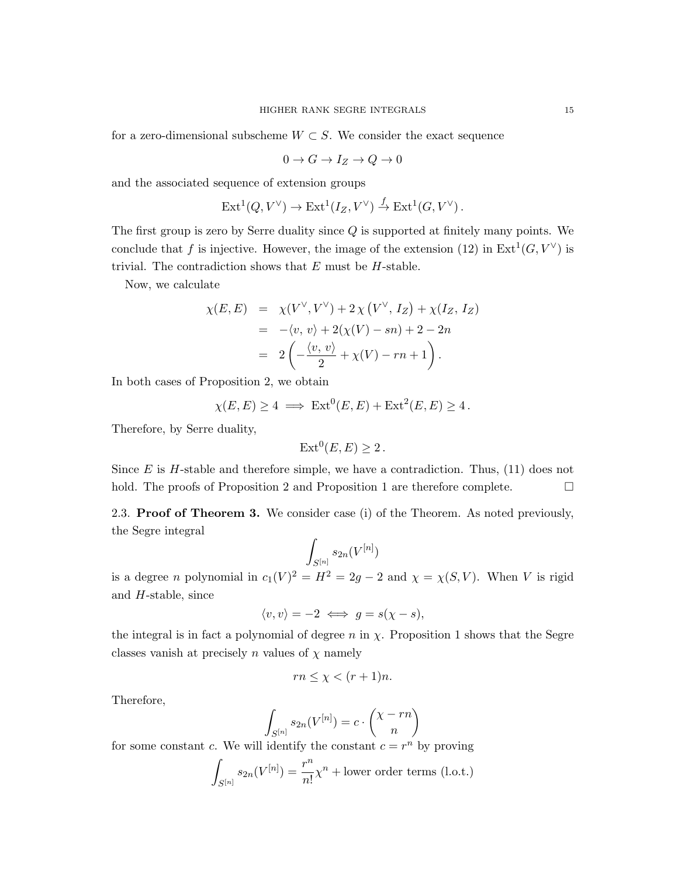for a zero-dimensional subscheme  $W \subset S$ . We consider the exact sequence

$$
0 \to G \to I_Z \to Q \to 0
$$

and the associated sequence of extension groups

$$
\operatorname{Ext}^1(Q, V^\vee) \to \operatorname{Ext}^1(I_Z, V^\vee) \xrightarrow{f} \operatorname{Ext}^1(G, V^\vee).
$$

The first group is zero by Serre duality since  $Q$  is supported at finitely many points. We conclude that f is injective. However, the image of the extension (12) in  $Ext<sup>1</sup>(G, V<sup>\vee</sup>)$  is trivial. The contradiction shows that  $E$  must be  $H$ -stable.

Now, we calculate

$$
\chi(E, E) = \chi(V^{\vee}, V^{\vee}) + 2\chi(V^{\vee}, I_Z) + \chi(I_Z, I_Z) \n= -\langle v, v \rangle + 2(\chi(V) - sn) + 2 - 2n \n= 2\left(-\frac{\langle v, v \rangle}{2} + \chi(V) - rn + 1\right).
$$

In both cases of Proposition 2, we obtain

$$
\chi(E, E) \ge 4 \implies \text{Ext}^0(E, E) + \text{Ext}^2(E, E) \ge 4.
$$

Therefore, by Serre duality,

$$
Ext^0(E, E) \ge 2.
$$

Since  $E$  is  $H$ -stable and therefore simple, we have a contradiction. Thus, (11) does not hold. The proofs of Proposition 2 and Proposition 1 are therefore complete.  $\Box$ 

2.3. Proof of Theorem 3. We consider case (i) of the Theorem. As noted previously, the Segre integral

$$
\int_{S^{[n]}}s_{2n}(V^{[n]})
$$

is a degree *n* polynomial in  $c_1(V)^2 = H^2 = 2g - 2$  and  $\chi = \chi(S, V)$ . When V is rigid and H-stable, since

$$
\langle v, v \rangle = -2 \iff g = s(\chi - s),
$$

the integral is in fact a polynomial of degree  $n$  in  $\chi$ . Proposition 1 shows that the Segre classes vanish at precisely n values of  $\chi$  namely

$$
rn \le \chi < (r+1)n.
$$

Therefore,

$$
\int_{S^{[n]}} s_{2n}(V^{[n]}) = c \cdot \binom{\chi - rn}{n}
$$

for some constant c. We will identify the constant  $c = r^n$  by proving

$$
\int_{S^{[n]}} s_{2n}(V^{[n]}) = \frac{r^n}{n!} \chi^n + \text{lower order terms (l.o.t.)}
$$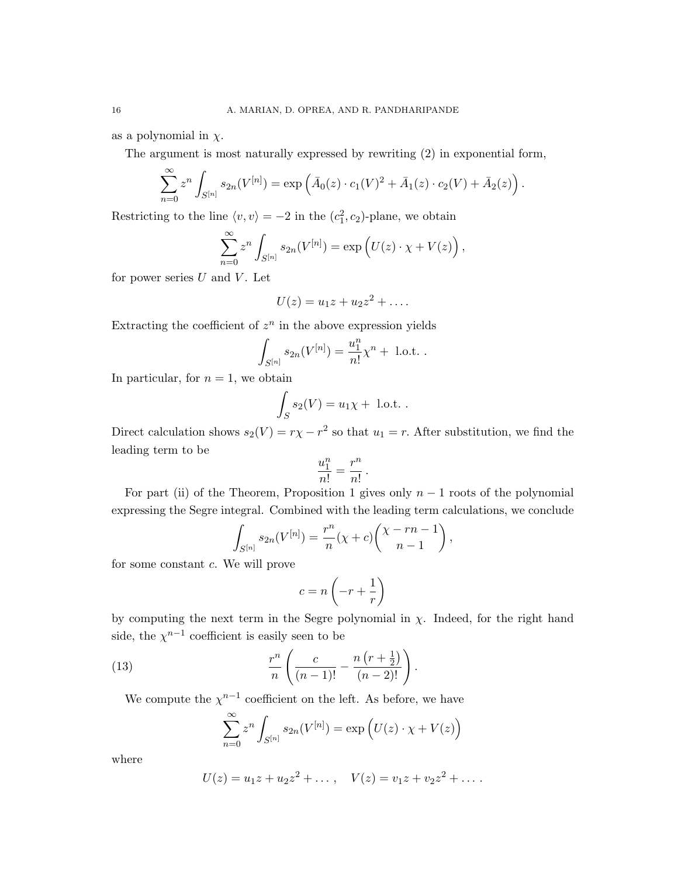as a polynomial in  $\chi$ .

The argument is most naturally expressed by rewriting (2) in exponential form,

$$
\sum_{n=0}^{\infty} z^n \int_{S^{[n]}} s_{2n}(V^{[n]}) = \exp \left( \bar{A}_0(z) \cdot c_1(V)^2 + \bar{A}_1(z) \cdot c_2(V) + \bar{A}_2(z) \right).
$$

Restricting to the line  $\langle v, v \rangle = -2$  in the  $(c_1^2, c_2)$ -plane, we obtain

$$
\sum_{n=0}^{\infty} z^n \int_{S^{[n]}} s_{2n}(V^{[n]}) = \exp(U(z) \cdot \chi + V(z)),
$$

for power series  $U$  and  $V$ . Let

$$
U(z) = u_1 z + u_2 z^2 + \dots
$$

Extracting the coefficient of  $z^n$  in the above expression yields

$$
\int_{S^{[n]}} s_{2n}(V^{[n]}) = \frac{u_1^n}{n!} \chi^n + \text{ l.o.t. }.
$$

In particular, for  $n = 1$ , we obtain

$$
\int_S s_2(V) = u_1 \chi + \text{ l.o.t. }.
$$

Direct calculation shows  $s_2(V) = r\chi - r^2$  so that  $u_1 = r$ . After substitution, we find the leading term to be

$$
\frac{u_1^n}{n!} = \frac{r^n}{n!} \, .
$$

For part (ii) of the Theorem, Proposition 1 gives only  $n-1$  roots of the polynomial expressing the Segre integral. Combined with the leading term calculations, we conclude

$$
\int_{S^{[n]}} s_{2n}(V^{[n]}) = \frac{r^n}{n}(\chi + c) \binom{\chi - rn - 1}{n - 1},
$$

for some constant c. We will prove

$$
c = n \left( -r + \frac{1}{r} \right)
$$

by computing the next term in the Segre polynomial in  $\chi$ . Indeed, for the right hand side, the  $\chi^{n-1}$  coefficient is easily seen to be

(13) 
$$
\frac{r^n}{n} \left( \frac{c}{(n-1)!} - \frac{n(r + \frac{1}{2})}{(n-2)!} \right).
$$

We compute the  $\chi^{n-1}$  coefficient on the left. As before, we have

$$
\sum_{n=0}^{\infty} z^n \int_{S^{[n]}} s_{2n}(V^{[n]}) = \exp\left(U(z) \cdot \chi + V(z)\right)
$$

where

$$
U(z) = u_1 z + u_2 z^2 + \dots, \quad V(z) = v_1 z + v_2 z^2 + \dots.
$$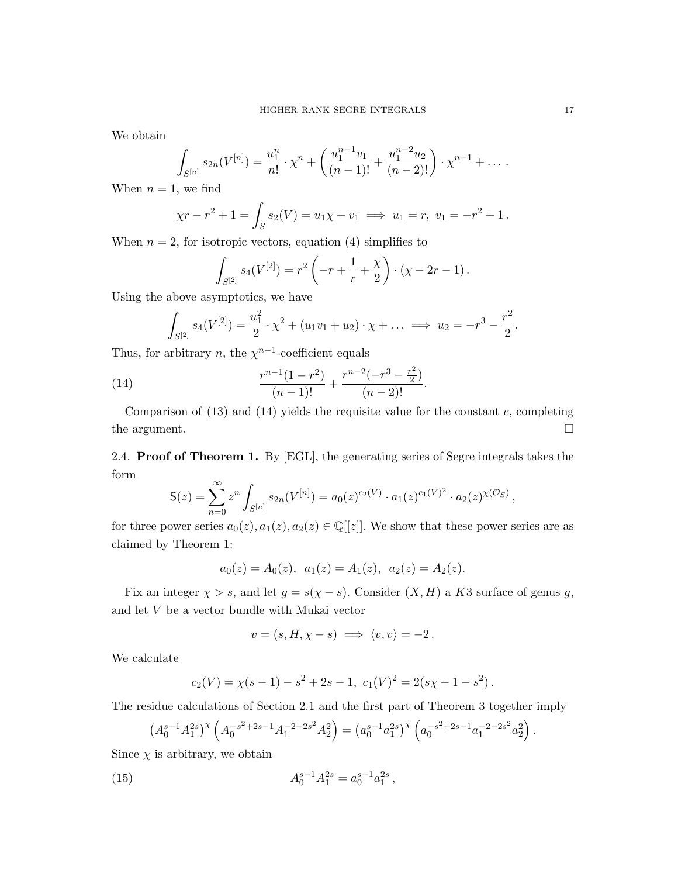We obtain

$$
\int_{S^{[n]}} s_{2n}(V^{[n]}) = \frac{u_1^n}{n!} \cdot \chi^n + \left(\frac{u_1^{n-1}v_1}{(n-1)!} + \frac{u_1^{n-2}u_2}{(n-2)!}\right) \cdot \chi^{n-1} + \dots
$$

When  $n = 1$ , we find

$$
\chi r - r^2 + 1 = \int_S s_2(V) = u_1 \chi + v_1 \implies u_1 = r, \ v_1 = -r^2 + 1.
$$

When  $n = 2$ , for isotropic vectors, equation (4) simplifies to

$$
\int_{S^{[2]}} s_4(V^{[2]}) = r^2 \left( -r + \frac{1}{r} + \frac{\chi}{2} \right) \cdot (\chi - 2r - 1).
$$

Using the above asymptotics, we have

$$
\int_{S^{[2]}} s_4(V^{[2]}) = \frac{u_1^2}{2} \cdot \chi^2 + (u_1v_1 + u_2) \cdot \chi + \dots \implies u_2 = -r^3 - \frac{r^2}{2}.
$$

Thus, for arbitrary *n*, the  $\chi^{n-1}$ -coefficient equals

(14) 
$$
\frac{r^{n-1}(1-r^2)}{(n-1)!} + \frac{r^{n-2}(-r^3 - \frac{r^2}{2})}{(n-2)!}.
$$

Comparison of  $(13)$  and  $(14)$  yields the requisite value for the constant c, completing the argument.  $\Box$ 

2.4. Proof of Theorem 1. By [EGL], the generating series of Segre integrals takes the form

$$
\mathsf{S}(z) = \sum_{n=0}^{\infty} z^n \int_{S^{[n]}} s_{2n}(V^{[n]}) = a_0(z)^{c_2(V)} \cdot a_1(z)^{c_1(V)^2} \cdot a_2(z)^{\chi(\mathcal{O}_S)},
$$

for three power series  $a_0(z), a_1(z), a_2(z) \in \mathbb{Q}[[z]]$ . We show that these power series are as claimed by Theorem 1:

$$
a_0(z) = A_0(z), \ a_1(z) = A_1(z), \ a_2(z) = A_2(z).
$$

Fix an integer  $\chi > s$ , and let  $g = s(\chi - s)$ . Consider  $(X, H)$  a K3 surface of genus g, and let V be a vector bundle with Mukai vector

$$
v = (s, H, \chi - s) \implies \langle v, v \rangle = -2.
$$

We calculate

$$
c_2(V) = \chi(s-1) - s^2 + 2s - 1, \ c_1(V)^2 = 2(s\chi - 1 - s^2).
$$

The residue calculations of Section 2.1 and the first part of Theorem 3 together imply

$$
(A_0^{s-1}A_1^{2s})^{\chi}\left(A_0^{-s^2+2s-1}A_1^{-2-2s^2}A_2^2\right) = (a_0^{s-1}a_1^{2s})^{\chi}\left(a_0^{-s^2+2s-1}a_1^{-2-2s^2}a_2^2\right).
$$

Since  $\chi$  is arbitrary, we obtain

(15) 
$$
A_0^{s-1} A_1^{2s} = a_0^{s-1} a_1^{2s} ,
$$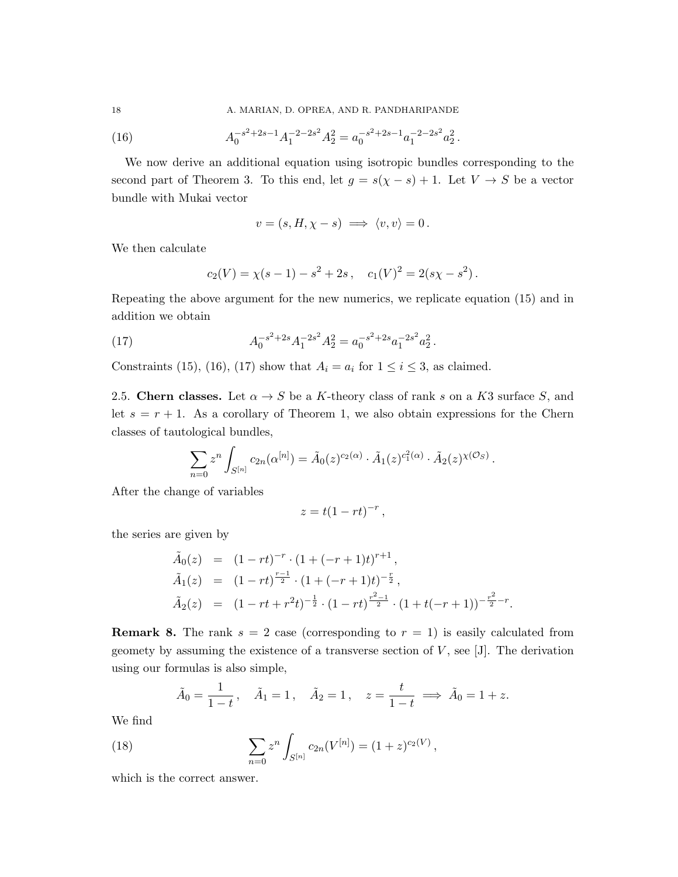18 A. MARIAN, D. OPREA, AND R. PANDHARIPANDE

(16) 
$$
A_0^{-s^2+2s-1}A_1^{-2-2s^2}A_2^2 = a_0^{-s^2+2s-1}a_1^{-2-2s^2}a_2^2.
$$

We now derive an additional equation using isotropic bundles corresponding to the second part of Theorem 3. To this end, let  $g = s(\chi - s) + 1$ . Let  $V \to S$  be a vector bundle with Mukai vector

$$
v = (s, H, \chi - s) \implies \langle v, v \rangle = 0.
$$

We then calculate

$$
c_2(V) = \chi(s-1) - s^2 + 2s
$$
,  $c_1(V)^2 = 2(s\chi - s^2)$ .

Repeating the above argument for the new numerics, we replicate equation (15) and in addition we obtain

(17) 
$$
A_0^{-s^2+2s}A_1^{-2s^2}A_2^2 = a_0^{-s^2+2s}a_1^{-2s^2}a_2^2.
$$

Constraints (15), (16), (17) show that  $A_i = a_i$  for  $1 \le i \le 3$ , as claimed.

2.5. Chern classes. Let  $\alpha \rightarrow S$  be a K-theory class of rank s on a K3 surface S, and let  $s = r + 1$ . As a corollary of Theorem 1, we also obtain expressions for the Chern classes of tautological bundles,

$$
\sum_{n=0} z^n \int_{S^{[n]}} c_{2n}(\alpha^{[n]}) = \tilde{A}_0(z)^{c_2(\alpha)} \cdot \tilde{A}_1(z)^{c_1^2(\alpha)} \cdot \tilde{A}_2(z)^{\chi(\mathcal{O}_S)}.
$$

After the change of variables

$$
z = t(1 - rt)^{-r},
$$

the series are given by

$$
\tilde{A}_0(z) = (1 - rt)^{-r} \cdot (1 + (-r + 1)t)^{r+1},
$$
  
\n
$$
\tilde{A}_1(z) = (1 - rt)^{\frac{r-1}{2}} \cdot (1 + (-r + 1)t)^{-\frac{r}{2}},
$$
  
\n
$$
\tilde{A}_2(z) = (1 - rt + r^2t)^{-\frac{1}{2}} \cdot (1 - rt)^{\frac{r^2 - 1}{2}} \cdot (1 + t(-r + 1))^{-\frac{r^2}{2} - r}.
$$

**Remark 8.** The rank  $s = 2$  case (corresponding to  $r = 1$ ) is easily calculated from geomety by assuming the existence of a transverse section of  $V$ , see [J]. The derivation using our formulas is also simple,

$$
\tilde{A}_0 = \frac{1}{1-t}, \quad \tilde{A}_1 = 1, \quad \tilde{A}_2 = 1, \quad z = \frac{t}{1-t} \implies \tilde{A}_0 = 1+z.
$$

We find

(18) 
$$
\sum_{n=0} z^n \int_{S^{[n]}} c_{2n}(V^{[n]}) = (1+z)^{c_2(V)},
$$

which is the correct answer.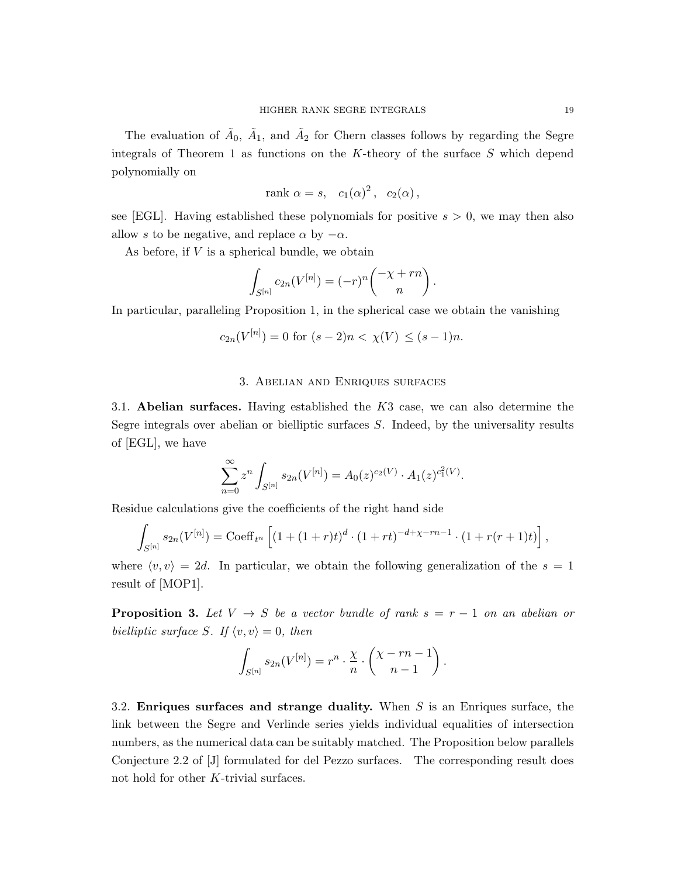The evaluation of  $\tilde{A}_0$ ,  $\tilde{A}_1$ , and  $\tilde{A}_2$  for Chern classes follows by regarding the Segre integrals of Theorem 1 as functions on the  $K$ -theory of the surface  $S$  which depend polynomially on

$$
rank \alpha = s, \quad c_1(\alpha)^2, \quad c_2(\alpha),
$$

see [EGL]. Having established these polynomials for positive  $s > 0$ , we may then also allow s to be negative, and replace  $\alpha$  by  $-\alpha$ .

As before, if  $V$  is a spherical bundle, we obtain

$$
\int_{S^{[n]}} c_{2n}(V^{[n]}) = (-r)^n \binom{-\chi + rn}{n}.
$$

In particular, paralleling Proposition 1, in the spherical case we obtain the vanishing

$$
c_{2n}(V^{[n]}) = 0 \text{ for } (s-2)n < \chi(V) \le (s-1)n.
$$

#### 3. Abelian and Enriques surfaces

3.1. Abelian surfaces. Having established the  $K3$  case, we can also determine the Segre integrals over abelian or bielliptic surfaces S. Indeed, by the universality results of [EGL], we have

$$
\sum_{n=0}^{\infty} z^n \int_{S^{[n]}} s_{2n}(V^{[n]}) = A_0(z)^{c_2(V)} \cdot A_1(z)^{c_1^2(V)}.
$$

Residue calculations give the coefficients of the right hand side

$$
\int_{S^{[n]}} s_{2n}(V^{[n]}) = \text{Coeff}_{t^n} \left[ \left(1 + (1+r)t\right)^d \cdot \left(1 + rt\right)^{-d + \chi - rn - 1} \cdot \left(1 + r(r+1)t\right) \right],
$$

where  $\langle v, v \rangle = 2d$ . In particular, we obtain the following generalization of the  $s = 1$ result of [MOP1].

**Proposition 3.** Let  $V \rightarrow S$  be a vector bundle of rank  $s = r - 1$  on an abelian or bielliptic surface S. If  $\langle v, v \rangle = 0$ , then

$$
\int_{S^{[n]}} s_{2n}(V^{[n]}) = r^n \cdot \frac{\chi}{n} \cdot \binom{\chi - rn - 1}{n - 1}.
$$

3.2. Enriques surfaces and strange duality. When S is an Enriques surface, the link between the Segre and Verlinde series yields individual equalities of intersection numbers, as the numerical data can be suitably matched. The Proposition below parallels Conjecture 2.2 of [J] formulated for del Pezzo surfaces. The corresponding result does not hold for other K-trivial surfaces.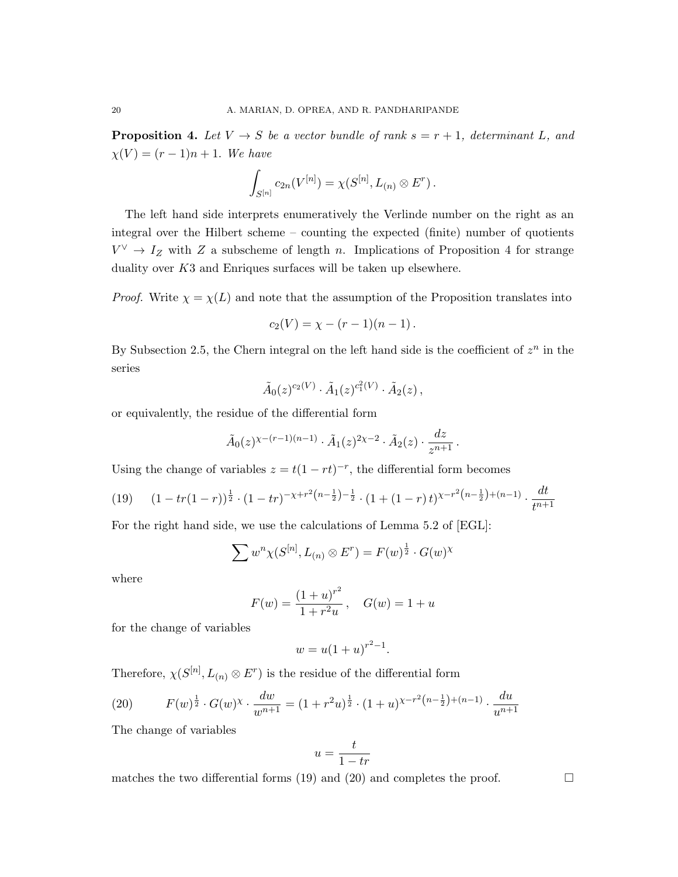**Proposition 4.** Let  $V \rightarrow S$  be a vector bundle of rank  $s = r + 1$ , determinant L, and  $\chi(V) = (r-1)n + 1$ . We have

$$
\int_{S^{[n]}} c_{2n}(V^{[n]}) = \chi(S^{[n]}, L_{(n)} \otimes E^r).
$$

The left hand side interprets enumeratively the Verlinde number on the right as an integral over the Hilbert scheme – counting the expected (finite) number of quotients  $V^{\vee} \to I_Z$  with Z a subscheme of length n. Implications of Proposition 4 for strange duality over  $K3$  and Enriques surfaces will be taken up elsewhere.

*Proof.* Write  $\chi = \chi(L)$  and note that the assumption of the Proposition translates into

$$
c_2(V) = \chi - (r-1)(n-1).
$$

By Subsection 2.5, the Chern integral on the left hand side is the coefficient of  $z^n$  in the series

$$
\tilde{A}_0(z)^{c_2(V)} \cdot \tilde{A}_1(z)^{c_1^2(V)} \cdot \tilde{A}_2(z)
$$
,

or equivalently, the residue of the differential form

$$
\tilde{A}_0(z)^{\chi-(r-1)(n-1)} \cdot \tilde{A}_1(z)^{2\chi-2} \cdot \tilde{A}_2(z) \cdot \frac{dz}{z^{n+1}}.
$$

Using the change of variables  $z = t(1 - rt)^{-r}$ , the differential form becomes

$$
(19) \qquad (1 - tr(1 - r))^{\frac{1}{2}} \cdot (1 - tr)^{-\chi + r^2(n - \frac{1}{2}) - \frac{1}{2}} \cdot (1 + (1 - r)t)^{\chi - r^2(n - \frac{1}{2}) + (n - 1)} \cdot \frac{dt}{t^{n+1}}
$$

For the right hand side, we use the calculations of Lemma 5.2 of [EGL]:

$$
\sum w^n \chi(S^{[n]}, L_{(n)} \otimes E^r) = F(w)^{\frac{1}{2}} \cdot G(w)^{\chi}
$$

where

$$
F(w) = \frac{(1+u)^{r^2}}{1+r^2u}, \quad G(w) = 1+u
$$

for the change of variables

$$
w = u(1+u)^{r^2-1}.
$$

Therefore,  $\chi(S^{[n]}, L_{(n)} \otimes E^r)$  is the residue of the differential form

(20) 
$$
F(w)^{\frac{1}{2}} \cdot G(w)^{\chi} \cdot \frac{dw}{w^{n+1}} = (1+r^2u)^{\frac{1}{2}} \cdot (1+u)^{\chi-r^2(n-\frac{1}{2})+(n-1)} \cdot \frac{du}{u^{n+1}}
$$

The change of variables

$$
u = \frac{t}{1 - tr}
$$

matches the two differential forms (19) and (20) and completes the proof.  $\Box$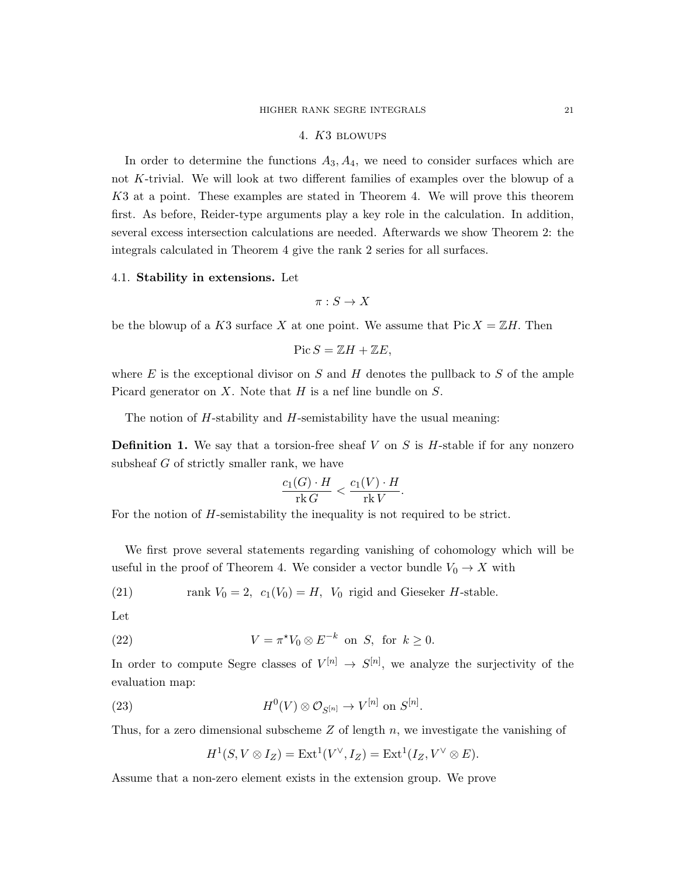## 4. K3 blowups

In order to determine the functions  $A_3, A_4$ , we need to consider surfaces which are not K-trivial. We will look at two different families of examples over the blowup of a K3 at a point. These examples are stated in Theorem 4. We will prove this theorem first. As before, Reider-type arguments play a key role in the calculation. In addition, several excess intersection calculations are needed. Afterwards we show Theorem 2: the integrals calculated in Theorem 4 give the rank 2 series for all surfaces.

#### 4.1. Stability in extensions. Let

 $\pi : S \to X$ 

be the blowup of a K3 surface X at one point. We assume that  $Pic X = \mathbb{Z}H$ . Then

$$
\operatorname{Pic} S = \mathbb{Z}H + \mathbb{Z}E,
$$

where  $E$  is the exceptional divisor on  $S$  and  $H$  denotes the pullback to  $S$  of the ample Picard generator on  $X$ . Note that  $H$  is a nef line bundle on  $S$ .

The notion of  $H$ -stability and  $H$ -semistability have the usual meaning:

**Definition 1.** We say that a torsion-free sheaf  $V$  on  $S$  is  $H$ -stable if for any nonzero subsheaf G of strictly smaller rank, we have

$$
\frac{c_1(G) \cdot H}{\text{rk } G} < \frac{c_1(V) \cdot H}{\text{rk } V}.
$$

For the notion of H-semistability the inequality is not required to be strict.

We first prove several statements regarding vanishing of cohomology which will be useful in the proof of Theorem 4. We consider a vector bundle  $V_0 \to X$  with

(21) rank 
$$
V_0 = 2
$$
,  $c_1(V_0) = H$ ,  $V_0$  rigid and Gieseker *H*-stable.

Let

(22) 
$$
V = \pi^* V_0 \otimes E^{-k} \text{ on } S, \text{ for } k \ge 0.
$$

In order to compute Segre classes of  $V^{[n]} \to S^{[n]}$ , we analyze the surjectivity of the evaluation map:

(23) 
$$
H^0(V) \otimes \mathcal{O}_{S^{[n]}} \to V^{[n]} \text{ on } S^{[n]}.
$$

Thus, for a zero dimensional subscheme  $Z$  of length  $n$ , we investigate the vanishing of

$$
H^1(S, V \otimes I_Z) = \text{Ext}^1(V^{\vee}, I_Z) = \text{Ext}^1(I_Z, V^{\vee} \otimes E).
$$

Assume that a non-zero element exists in the extension group. We prove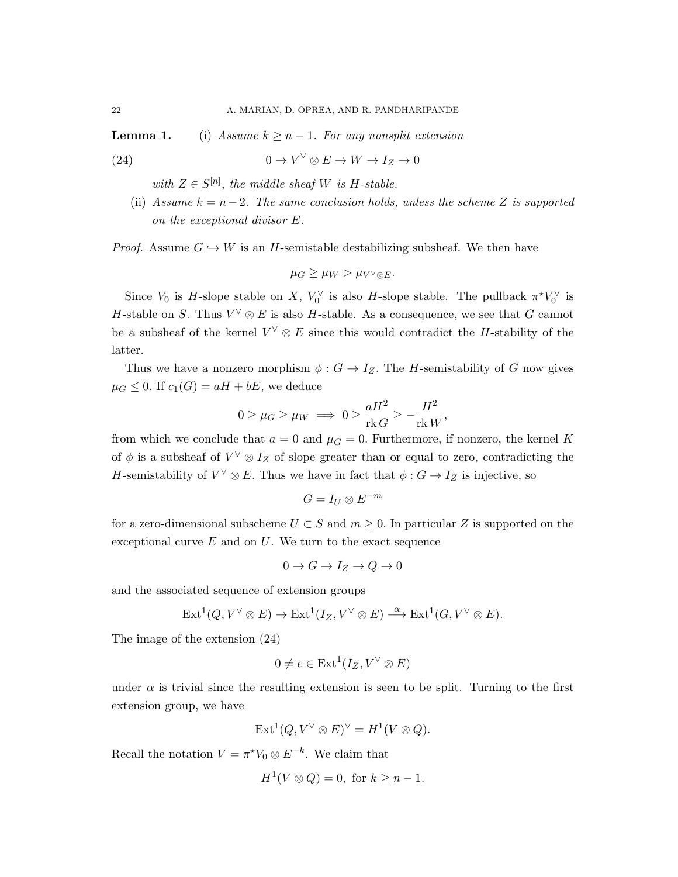**Lemma 1.** (i) Assume  $k \geq n-1$ . For any nonsplit extension

(24) 
$$
0 \to V^{\vee} \otimes E \to W \to I_Z \to 0
$$

with  $Z \in S^{[n]}$ , the middle sheaf W is H-stable.

(ii) Assume  $k = n-2$ . The same conclusion holds, unless the scheme Z is supported on the exceptional divisor E.

*Proof.* Assume  $G \hookrightarrow W$  is an H-semistable destabilizing subsheaf. We then have

$$
\mu_G \ge \mu_W > \mu_{V^\vee \otimes E}.
$$

Since  $V_0$  is H-slope stable on X,  $V_0^{\vee}$  is also H-slope stable. The pullback  $\pi^* V_0^{\vee}$  is H-stable on S. Thus  $V^{\vee} \otimes E$  is also H-stable. As a consequence, we see that G cannot be a subsheaf of the kernel  $V^{\vee} \otimes E$  since this would contradict the H-stability of the latter.

Thus we have a nonzero morphism  $\phi : G \to I_Z$ . The H-semistability of G now gives  $\mu_G \leq 0$ . If  $c_1(G) = aH + bE$ , we deduce

$$
0 \ge \mu_G \ge \mu_W \implies 0 \ge \frac{aH^2}{\text{rk } G} \ge -\frac{H^2}{\text{rk } W},
$$

from which we conclude that  $a = 0$  and  $\mu = 0$ . Furthermore, if nonzero, the kernel K of  $\phi$  is a subsheaf of  $V^{\vee} \otimes I_Z$  of slope greater than or equal to zero, contradicting the H-semistability of  $V^{\vee} \otimes E$ . Thus we have in fact that  $\phi : G \to I_Z$  is injective, so

$$
G=I_U\otimes E^{-m}
$$

for a zero-dimensional subscheme  $U \subset S$  and  $m \geq 0$ . In particular Z is supported on the exceptional curve  $E$  and on  $U$ . We turn to the exact sequence

$$
0 \to G \to I_Z \to Q \to 0
$$

and the associated sequence of extension groups

$$
\operatorname{Ext}^1(Q, V^{\vee} \otimes E) \to \operatorname{Ext}^1(I_Z, V^{\vee} \otimes E) \stackrel{\alpha}{\longrightarrow} \operatorname{Ext}^1(G, V^{\vee} \otimes E).
$$

The image of the extension (24)

$$
0 \neq e \in \text{Ext}^1(I_Z, V^{\vee} \otimes E)
$$

under  $\alpha$  is trivial since the resulting extension is seen to be split. Turning to the first extension group, we have

$$
Ext^1(Q, V^{\vee} \otimes E)^{\vee} = H^1(V \otimes Q).
$$

Recall the notation  $V = \pi^* V_0 \otimes E^{-k}$ . We claim that

$$
H^1(V \otimes Q) = 0, \text{ for } k \ge n - 1.
$$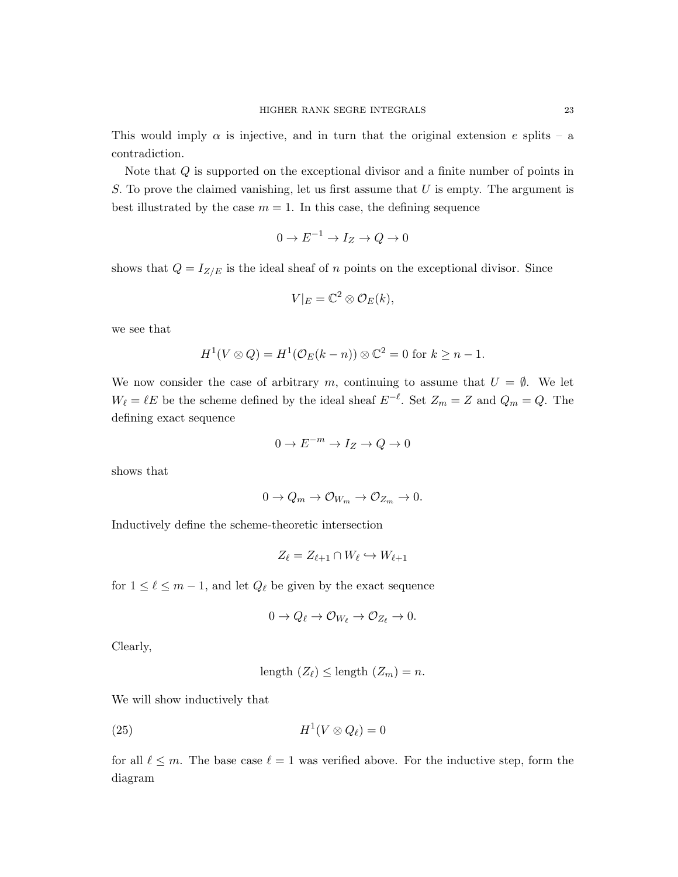This would imply  $\alpha$  is injective, and in turn that the original extension e splits – a contradiction.

Note that Q is supported on the exceptional divisor and a finite number of points in S. To prove the claimed vanishing, let us first assume that  $U$  is empty. The argument is best illustrated by the case  $m = 1$ . In this case, the defining sequence

$$
0 \to E^{-1} \to I_Z \to Q \to 0
$$

shows that  $Q = I_{Z/E}$  is the ideal sheaf of n points on the exceptional divisor. Since

$$
V|_{E} = \mathbb{C}^{2} \otimes \mathcal{O}_{E}(k),
$$

we see that

$$
H^{1}(V \otimes Q) = H^{1}(\mathcal{O}_{E}(k-n)) \otimes \mathbb{C}^{2} = 0 \text{ for } k \geq n-1.
$$

We now consider the case of arbitrary m, continuing to assume that  $U = \emptyset$ . We let  $W_{\ell} = \ell E$  be the scheme defined by the ideal sheaf  $E^{-\ell}$ . Set  $Z_m = Z$  and  $Q_m = Q$ . The defining exact sequence

$$
0 \to E^{-m} \to I_Z \to Q \to 0
$$

shows that

$$
0 \to Q_m \to \mathcal{O}_{W_m} \to \mathcal{O}_{Z_m} \to 0.
$$

Inductively define the scheme-theoretic intersection

$$
Z_{\ell} = Z_{\ell+1} \cap W_{\ell} \hookrightarrow W_{\ell+1}
$$

for  $1 \leq \ell \leq m-1$ , and let  $Q_{\ell}$  be given by the exact sequence

$$
0 \to Q_{\ell} \to \mathcal{O}_{W_{\ell}} \to \mathcal{O}_{Z_{\ell}} \to 0.
$$

Clearly,

$$
length (Z_{\ell}) \le length (Z_m) = n.
$$

We will show inductively that

$$
(25) \t\t\t H1(V \otimes Q_{\ell}) = 0
$$

for all  $\ell \leq m$ . The base case  $\ell = 1$  was verified above. For the inductive step, form the diagram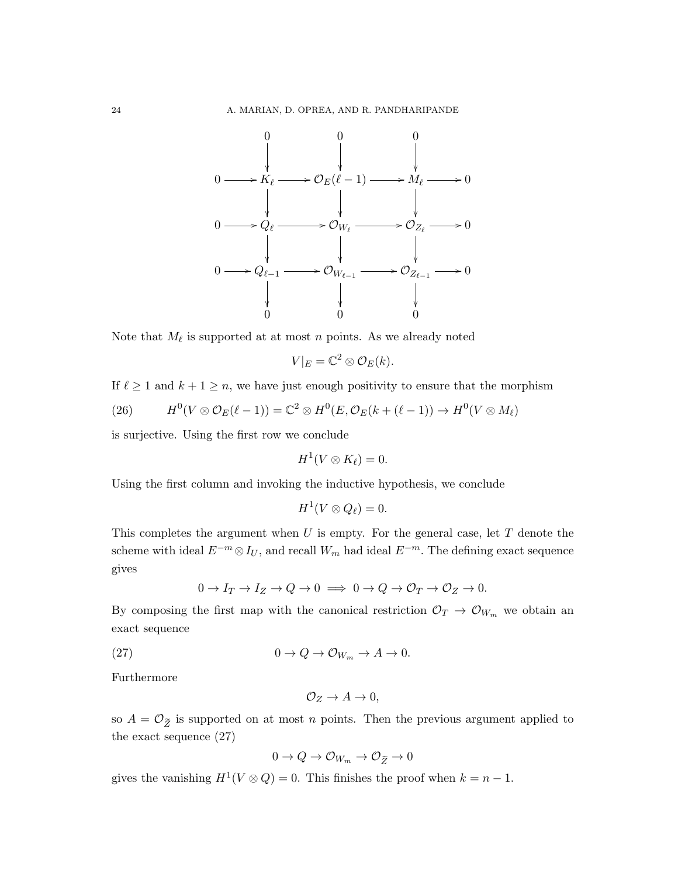

Note that  $M_{\ell}$  is supported at at most n points. As we already noted

$$
V|_{E} = \mathbb{C}^{2} \otimes \mathcal{O}_{E}(k).
$$

If  $\ell \geq 1$  and  $k + 1 \geq n$ , we have just enough positivity to ensure that the morphism

(26) 
$$
H^0(V \otimes \mathcal{O}_E(\ell-1)) = \mathbb{C}^2 \otimes H^0(E, \mathcal{O}_E(k+(\ell-1)) \to H^0(V \otimes M_{\ell})
$$

is surjective. Using the first row we conclude

$$
H^1(V\otimes K_{\ell})=0.
$$

Using the first column and invoking the inductive hypothesis, we conclude

$$
H^1(V\otimes Q_{\ell})=0.
$$

This completes the argument when  $U$  is empty. For the general case, let  $T$  denote the scheme with ideal  $E^{-m} \otimes I_U$ , and recall  $W_m$  had ideal  $E^{-m}$ . The defining exact sequence gives

$$
0 \to I_T \to I_Z \to Q \to 0 \implies 0 \to Q \to \mathcal{O}_T \to \mathcal{O}_Z \to 0.
$$

By composing the first map with the canonical restriction  $\mathcal{O}_T \to \mathcal{O}_{W_m}$  we obtain an exact sequence

(27) 
$$
0 \to Q \to \mathcal{O}_{W_m} \to A \to 0.
$$

Furthermore

$$
\mathcal{O}_Z \to A \to 0,
$$

so  $A = \mathcal{O}_{\widetilde{Z}}$  is supported on at most n points. Then the previous argument applied to the exact sequence (27)

$$
0 \to Q \to \mathcal{O}_{W_m} \to \mathcal{O}_{\widetilde{Z}} \to 0
$$

gives the vanishing  $H^1(V \otimes Q) = 0$ . This finishes the proof when  $k = n - 1$ .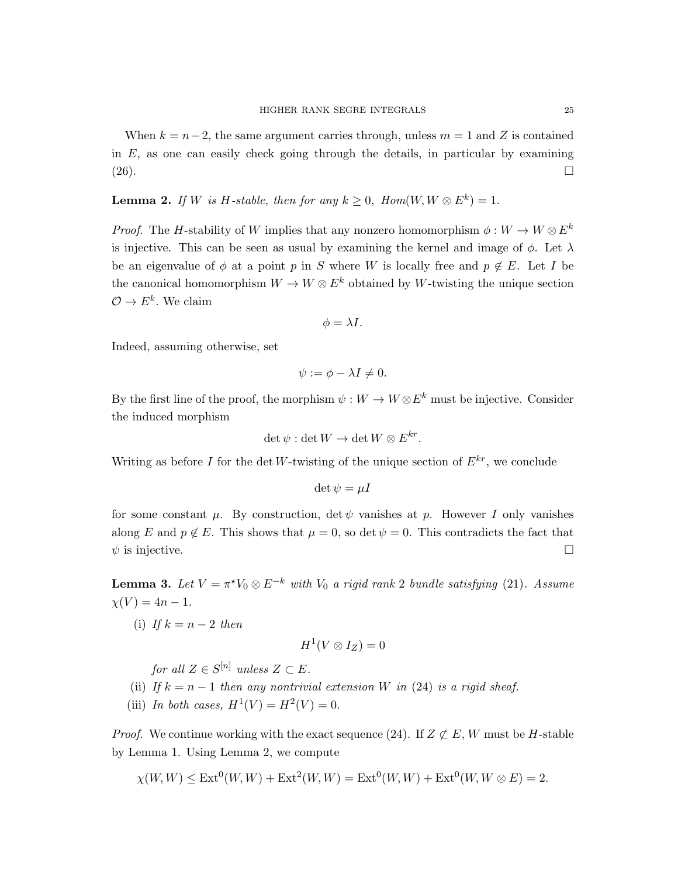When  $k = n-2$ , the same argument carries through, unless  $m = 1$  and Z is contained in  $E$ , as one can easily check going through the details, in particular by examining  $(26)$ .

**Lemma 2.** If W is H-stable, then for any  $k \geq 0$ ,  $Hom(W, W \otimes E^k) = 1$ .

*Proof.* The H-stability of W implies that any nonzero homomorphism  $\phi: W \to W \otimes E^k$ is injective. This can be seen as usual by examining the kernel and image of  $\phi$ . Let  $\lambda$ be an eigenvalue of  $\phi$  at a point p in S where W is locally free and  $p \notin E$ . Let I be the canonical homomorphism  $W \to W \otimes E^k$  obtained by W-twisting the unique section  $\mathcal{O} \to E^k$ . We claim

$$
\phi = \lambda I.
$$

Indeed, assuming otherwise, set

$$
\psi := \phi - \lambda I \neq 0.
$$

By the first line of the proof, the morphism  $\psi : W \to W \otimes E^k$  must be injective. Consider the induced morphism

$$
\det \psi : \det W \to \det W \otimes E^{kr}.
$$

Writing as before I for the det W-twisting of the unique section of  $E^{kr}$ , we conclude

$$
\det \psi = \mu I
$$

for some constant  $\mu$ . By construction, det  $\psi$  vanishes at p. However I only vanishes along E and  $p \notin E$ . This shows that  $\mu = 0$ , so det  $\psi = 0$ . This contradicts the fact that  $\psi$  is injective.

**Lemma 3.** Let  $V = \pi^* V_0 \otimes E^{-k}$  with  $V_0$  a rigid rank 2 bundle satisfying (21). Assume  $\chi(V) = 4n - 1.$ 

(i) If  $k = n - 2$  then

$$
H^1(V\otimes I_Z)=0
$$

for all  $Z \in S^{[n]}$  unless  $Z \subset E$ .

- (ii) If  $k = n 1$  then any nontrivial extension W in (24) is a rigid sheaf.
- (iii) In both cases,  $H^1(V) = H^2(V) = 0$ .

*Proof.* We continue working with the exact sequence (24). If  $Z \not\subset E$ , W must be H-stable by Lemma 1. Using Lemma 2, we compute

$$
\chi(W, W) \le \text{Ext}^{0}(W, W) + \text{Ext}^{2}(W, W) = \text{Ext}^{0}(W, W) + \text{Ext}^{0}(W, W \otimes E) = 2.
$$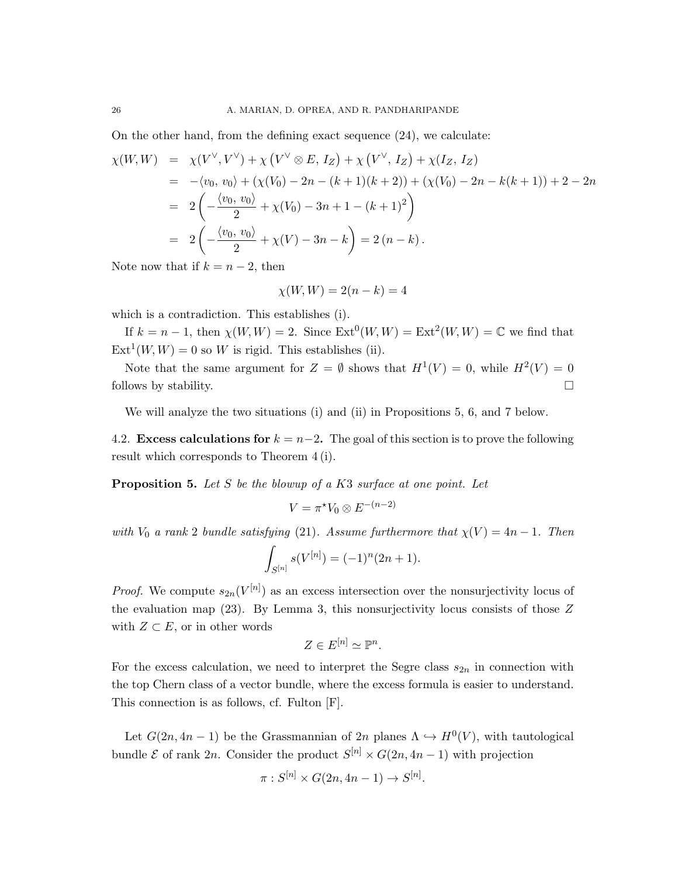On the other hand, from the defining exact sequence  $(24)$ , we calculate:

$$
\chi(W, W) = \chi(V^{\vee}, V^{\vee}) + \chi(V^{\vee} \otimes E, I_Z) + \chi(V^{\vee}, I_Z) + \chi(I_Z, I_Z)
$$
  
\n
$$
= -\langle v_0, v_0 \rangle + (\chi(V_0) - 2n - (k+1)(k+2)) + (\chi(V_0) - 2n - k(k+1)) + 2 - 2n
$$
  
\n
$$
= 2\left(-\frac{\langle v_0, v_0 \rangle}{2} + \chi(V_0) - 3n + 1 - (k+1)^2\right)
$$
  
\n
$$
= 2\left(-\frac{\langle v_0, v_0 \rangle}{2} + \chi(V) - 3n - k\right) = 2(n-k).
$$

Note now that if  $k = n - 2$ , then

$$
\chi(W,W) = 2(n-k) = 4
$$

which is a contradiction. This establishes (i).

If  $k = n - 1$ , then  $\chi(W, W) = 2$ . Since  $\text{Ext}^{0}(W, W) = \text{Ext}^{2}(W, W) = \mathbb{C}$  we find that  $Ext<sup>1</sup>(W, W) = 0$  so W is rigid. This establishes (ii).

Note that the same argument for  $Z = \emptyset$  shows that  $H^1(V) = 0$ , while  $H^2(V) = 0$ follows by stability.  $\Box$ 

We will analyze the two situations (i) and (ii) in Propositions 5, 6, and 7 below.

4.2. Excess calculations for  $k = n-2$ . The goal of this section is to prove the following result which corresponds to Theorem 4 (i).

**Proposition 5.** Let  $S$  be the blowup of a  $K3$  surface at one point. Let

$$
V = \pi^* V_0 \otimes E^{-(n-2)}
$$

with  $V_0$  a rank 2 bundle satisfying (21). Assume furthermore that  $\chi(V) = 4n - 1$ . Then

$$
\int_{S^{[n]}} s(V^{[n]}) = (-1)^n (2n+1).
$$

*Proof.* We compute  $s_{2n}(V^{[n]})$  as an excess intersection over the nonsurjectivity locus of the evaluation map  $(23)$ . By Lemma 3, this nonsurjectivity locus consists of those  $Z$ with  $Z \subset E$ , or in other words

$$
Z \in E^{[n]} \simeq \mathbb{P}^n.
$$

For the excess calculation, we need to interpret the Segre class  $s_{2n}$  in connection with the top Chern class of a vector bundle, where the excess formula is easier to understand. This connection is as follows, cf. Fulton [F].

Let  $G(2n, 4n-1)$  be the Grassmannian of  $2n$  planes  $\Lambda \hookrightarrow H^0(V)$ , with tautological bundle  $\mathcal E$  of rank 2n. Consider the product  $S^{[n]} \times G(2n, 4n-1)$  with projection

$$
\pi: S^{[n]} \times G(2n, 4n-1) \to S^{[n]}.
$$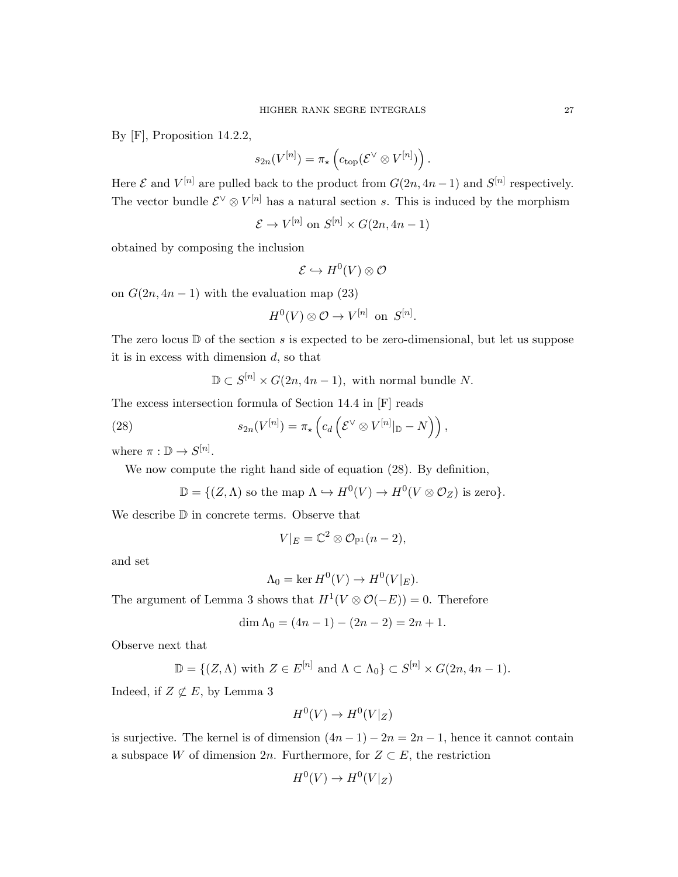By [F], Proposition 14.2.2,

$$
s_{2n}(V^{[n]}) = \pi_{\star} \left( c_{\text{top}}(\mathcal{E}^{\vee} \otimes V^{[n]}) \right).
$$

Here  $\mathcal E$  and  $V^{[n]}$  are pulled back to the product from  $G(2n, 4n-1)$  and  $S^{[n]}$  respectively. The vector bundle  $\mathcal{E}^{\vee} \otimes V^{[n]}$  has a natural section s. This is induced by the morphism

$$
\mathcal{E} \to V^{[n]} \text{ on } S^{[n]} \times G(2n, 4n - 1)
$$

obtained by composing the inclusion

$$
\mathcal{E} \hookrightarrow H^0(V) \otimes \mathcal{O}
$$

on  $G(2n, 4n-1)$  with the evaluation map  $(23)$ 

$$
H^0(V)\otimes\mathcal{O}\to V^{[n]}\ \ \text{on}\ \ S^{[n]}.
$$

The zero locus  $\mathbb D$  of the section s is expected to be zero-dimensional, but let us suppose it is in excess with dimension  $d$ , so that

 $\mathbb{D} \subset S^{[n]} \times G(2n, 4n-1)$ , with normal bundle N.

The excess intersection formula of Section 14.4 in [F] reads

(28) 
$$
s_{2n}(V^{[n]}) = \pi_{\star} \left( c_d \left( \mathcal{E}^{\vee} \otimes V^{[n]}|_{\mathbb{D}} - N \right) \right),
$$

where  $\pi : \mathbb{D} \to S^{[n]}.$ 

We now compute the right hand side of equation (28). By definition,

$$
\mathbb{D} = \{ (Z, \Lambda) \text{ so the map } \Lambda \hookrightarrow H^0(V) \to H^0(V \otimes \mathcal{O}_Z) \text{ is zero} \}.
$$

We describe  $\mathbb D$  in concrete terms. Observe that

$$
V|_{E} = \mathbb{C}^{2} \otimes \mathcal{O}_{\mathbb{P}^{1}}(n-2),
$$

and set

$$
\Lambda_0 = \ker H^0(V) \to H^0(V|_E).
$$

The argument of Lemma 3 shows that  $H^1(V \otimes \mathcal{O}(-E)) = 0$ . Therefore

$$
\dim \Lambda_0 = (4n - 1) - (2n - 2) = 2n + 1.
$$

Observe next that

$$
\mathbb{D} = \{ (Z, \Lambda) \text{ with } Z \in E^{[n]} \text{ and } \Lambda \subset \Lambda_0 \} \subset S^{[n]} \times G(2n, 4n - 1).
$$

Indeed, if  $Z \not\subset E$ , by Lemma 3

$$
H^0(V) \to H^0(V|_Z)
$$

is surjective. The kernel is of dimension  $(4n-1) - 2n = 2n-1$ , hence it cannot contain a subspace W of dimension 2n. Furthermore, for  $Z \subset E$ , the restriction

$$
H^0(V) \to H^0(V|_Z)
$$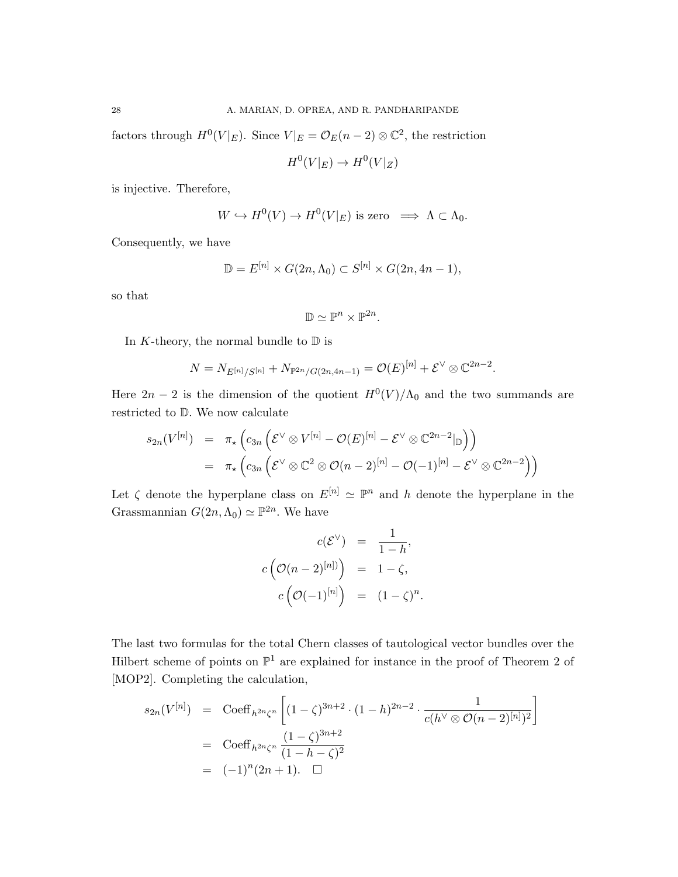factors through  $H^0(V|_E)$ . Since  $V|_E = \mathcal{O}_E(n-2) \otimes \mathbb{C}^2$ , the restriction

$$
H^0(V|_E) \to H^0(V|_Z)
$$

is injective. Therefore,

$$
W \hookrightarrow H^0(V) \to H^0(V|_E) \text{ is zero } \implies \Lambda \subset \Lambda_0.
$$

Consequently, we have

$$
\mathbb{D} = E^{[n]} \times G(2n, \Lambda_0) \subset S^{[n]} \times G(2n, 4n - 1),
$$

so that

$$
\mathbb{D}\simeq \mathbb{P}^n\times \mathbb{P}^{2n}.
$$

In K-theory, the normal bundle to  $\mathbb D$  is

$$
N = N_{E^{[n]}/S^{[n]}} + N_{\mathbb{P}^{2n}/G(2n,4n-1)} = \mathcal{O}(E)^{[n]} + \mathcal{E}^{\vee} \otimes \mathbb{C}^{2n-2}.
$$

Here  $2n-2$  is the dimension of the quotient  $H^0(V)/\Lambda_0$  and the two summands are restricted to D. We now calculate

$$
s_{2n}(V^{[n]}) = \pi_{\star} \left( c_{3n} \left( \mathcal{E}^{\vee} \otimes V^{[n]} - \mathcal{O}(E)^{[n]} - \mathcal{E}^{\vee} \otimes \mathbb{C}^{2n-2}|_{\mathbb{D}} \right) \right)
$$
  
=  $\pi_{\star} \left( c_{3n} \left( \mathcal{E}^{\vee} \otimes \mathbb{C}^{2} \otimes \mathcal{O}(n-2)^{[n]} - \mathcal{O}(-1)^{[n]} - \mathcal{E}^{\vee} \otimes \mathbb{C}^{2n-2} \right) \right)$ 

Let  $\zeta$  denote the hyperplane class on  $E^{[n]} \simeq \mathbb{P}^n$  and h denote the hyperplane in the Grassmannian  $G(2n, \Lambda_0) \simeq \mathbb{P}^{2n}$ . We have

$$
c(\mathcal{E}^{\vee}) = \frac{1}{1-h},
$$
  

$$
c\left(\mathcal{O}(n-2)^{[n]}\right) = 1-\zeta,
$$
  

$$
c\left(\mathcal{O}(-1)^{[n]}\right) = (1-\zeta)^n
$$

.

The last two formulas for the total Chern classes of tautological vector bundles over the Hilbert scheme of points on  $\mathbb{P}^1$  are explained for instance in the proof of Theorem 2 of [MOP2]. Completing the calculation,

$$
s_{2n}(V^{[n]}) = \text{Coeff}_{h^{2n}\zeta^n} \left[ (1-\zeta)^{3n+2} \cdot (1-h)^{2n-2} \cdot \frac{1}{c(h^{\vee} \otimes \mathcal{O}(n-2)^{[n]})^2} \right]
$$
  
= \text{Coeff}\_{h^{2n}\zeta^n} \frac{(1-\zeta)^{3n+2}}{(1-h-\zeta)^2}  
= (-1)^n (2n+1).  $\square$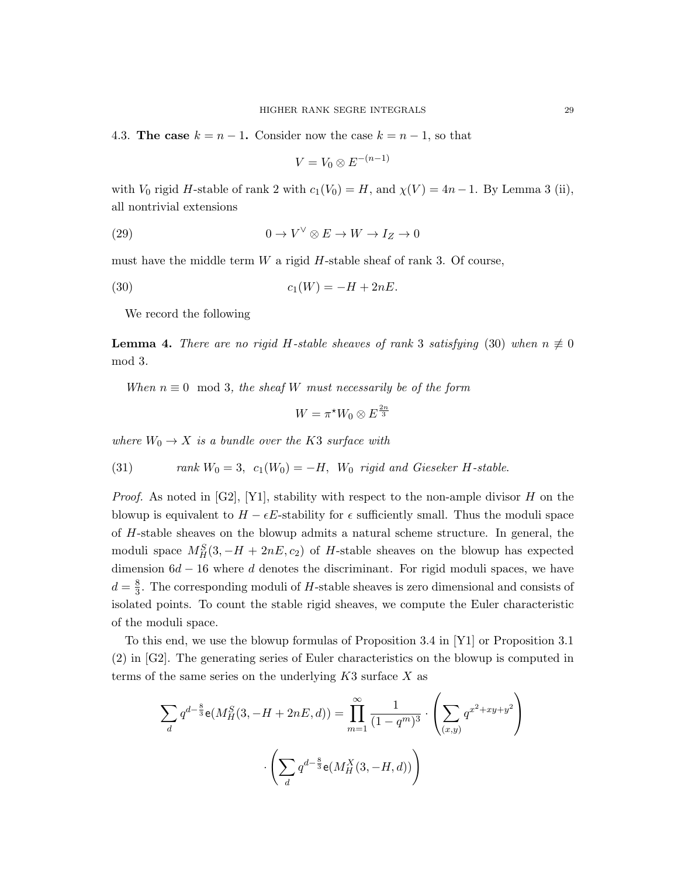4.3. The case  $k = n - 1$ . Consider now the case  $k = n - 1$ , so that

$$
V = V_0 \otimes E^{-(n-1)}
$$

with  $V_0$  rigid H-stable of rank 2 with  $c_1(V_0) = H$ , and  $\chi(V) = 4n - 1$ . By Lemma 3 (ii), all nontrivial extensions

(29) 
$$
0 \to V^{\vee} \otimes E \to W \to I_Z \to 0
$$

must have the middle term  $W$  a rigid  $H$ -stable sheaf of rank 3. Of course,

(30) 
$$
c_1(W) = -H + 2nE.
$$

We record the following

**Lemma 4.** There are no rigid H-stable sheaves of rank 3 satisfying (30) when  $n \neq 0$ mod 3.

When  $n \equiv 0 \mod 3$ , the sheaf W must necessarily be of the form

$$
W = \pi^{\star} W_0 \otimes E^{\frac{2n}{3}}
$$

where  $W_0 \rightarrow X$  is a bundle over the K3 surface with

(31) *rank* 
$$
W_0 = 3
$$
,  $c_1(W_0) = -H$ ,  $W_0$  *rigid and Gieseker H-stable.*

*Proof.* As noted in [G2], [Y1], stability with respect to the non-ample divisor H on the blowup is equivalent to  $H - \epsilon E$ -stability for  $\epsilon$  sufficiently small. Thus the moduli space of H-stable sheaves on the blowup admits a natural scheme structure. In general, the moduli space  $M_H^S(3, -H + 2nE, c_2)$  of H-stable sheaves on the blowup has expected dimension  $6d - 16$  where d denotes the discriminant. For rigid moduli spaces, we have  $d=\frac{8}{3}$  $\frac{8}{3}$ . The corresponding moduli of H-stable sheaves is zero dimensional and consists of isolated points. To count the stable rigid sheaves, we compute the Euler characteristic of the moduli space.

To this end, we use the blowup formulas of Proposition 3.4 in [Y1] or Proposition 3.1 (2) in [G2]. The generating series of Euler characteristics on the blowup is computed in terms of the same series on the underlying  $K3$  surface X as

$$
\sum_{d} q^{d-\frac{8}{3}} \mathbf{e}(M_H^S(3, -H + 2nE, d)) = \prod_{m=1}^{\infty} \frac{1}{(1 - q^m)^3} \cdot \left(\sum_{(x,y)} q^{x^2 + xy + y^2}\right)
$$

$$
\cdot \left(\sum_{d} q^{d-\frac{8}{3}} \mathbf{e}(M_H^X(3, -H, d))\right)
$$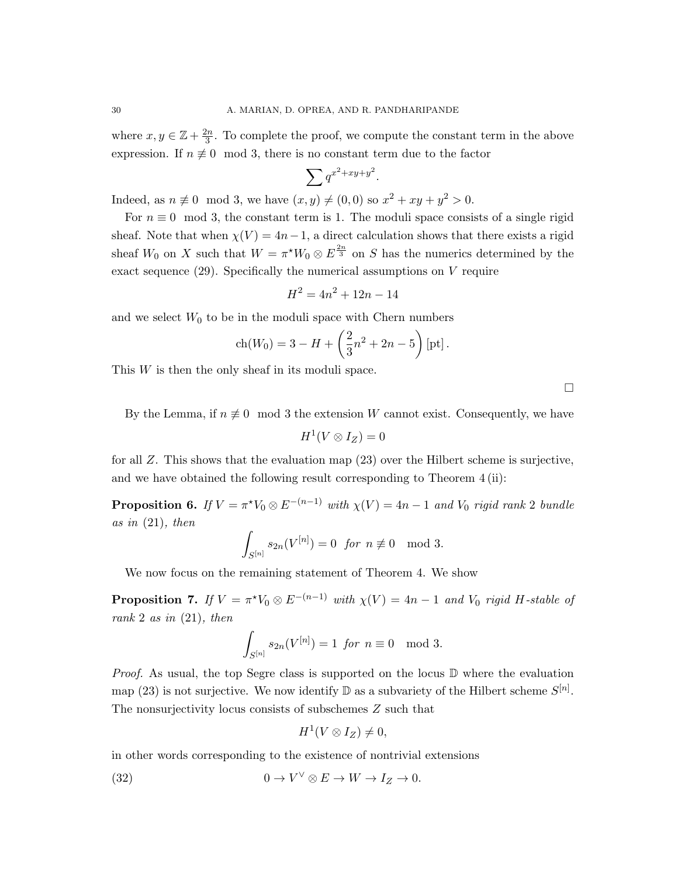where  $x, y \in \mathbb{Z} + \frac{2n}{3}$  $\frac{2n}{3}$ . To complete the proof, we compute the constant term in the above expression. If  $n \not\equiv 0 \mod 3$ , there is no constant term due to the factor

$$
\sum q^{x^2+xy+y^2}.
$$

Indeed, as  $n \neq 0 \mod 3$ , we have  $(x, y) \neq (0, 0)$  so  $x^2 + xy + y^2 > 0$ .

For  $n \equiv 0 \mod 3$ , the constant term is 1. The moduli space consists of a single rigid sheaf. Note that when  $\chi(V) = 4n-1$ , a direct calculation shows that there exists a rigid sheaf  $W_0$  on X such that  $W = \pi^* W_0 \otimes E^{\frac{2n}{3}}$  on S has the numerics determined by the exact sequence  $(29)$ . Specifically the numerical assumptions on V require

$$
H^2 = 4n^2 + 12n - 14
$$

and we select  $W_0$  to be in the moduli space with Chern numbers

$$
ch(W_0) = 3 - H + \left(\frac{2}{3}n^2 + 2n - 5\right)[pt].
$$

This W is then the only sheaf in its moduli space.

 $\Box$ 

By the Lemma, if  $n \neq 0 \mod 3$  the extension W cannot exist. Consequently, we have

$$
H^1(V\otimes I_Z)=0
$$

for all Z. This shows that the evaluation map (23) over the Hilbert scheme is surjective, and we have obtained the following result corresponding to Theorem 4 (ii):

**Proposition 6.** If  $V = \pi^* V_0 \otimes E^{-(n-1)}$  with  $\chi(V) = 4n - 1$  and  $V_0$  rigid rank 2 bundle as in  $(21)$ , then

$$
\int_{S^{[n]}} s_{2n}(V^{[n]}) = 0 \text{ for } n \not\equiv 0 \mod 3.
$$

We now focus on the remaining statement of Theorem 4. We show

**Proposition 7.** If  $V = \pi^* V_0 \otimes E^{-(n-1)}$  with  $\chi(V) = 4n - 1$  and  $V_0$  rigid H-stable of rank 2 as in  $(21)$ , then

$$
\int_{S^{[n]}} s_{2n}(V^{[n]}) = 1 \text{ for } n \equiv 0 \mod 3.
$$

*Proof.* As usual, the top Segre class is supported on the locus  $\mathbb D$  where the evaluation map (23) is not surjective. We now identify  $\mathbb D$  as a subvariety of the Hilbert scheme  $S^{[n]}$ . The nonsurjectivity locus consists of subschemes Z such that

$$
H^1(V\otimes I_Z)\neq 0,
$$

in other words corresponding to the existence of nontrivial extensions

(32) 
$$
0 \to V^{\vee} \otimes E \to W \to I_Z \to 0.
$$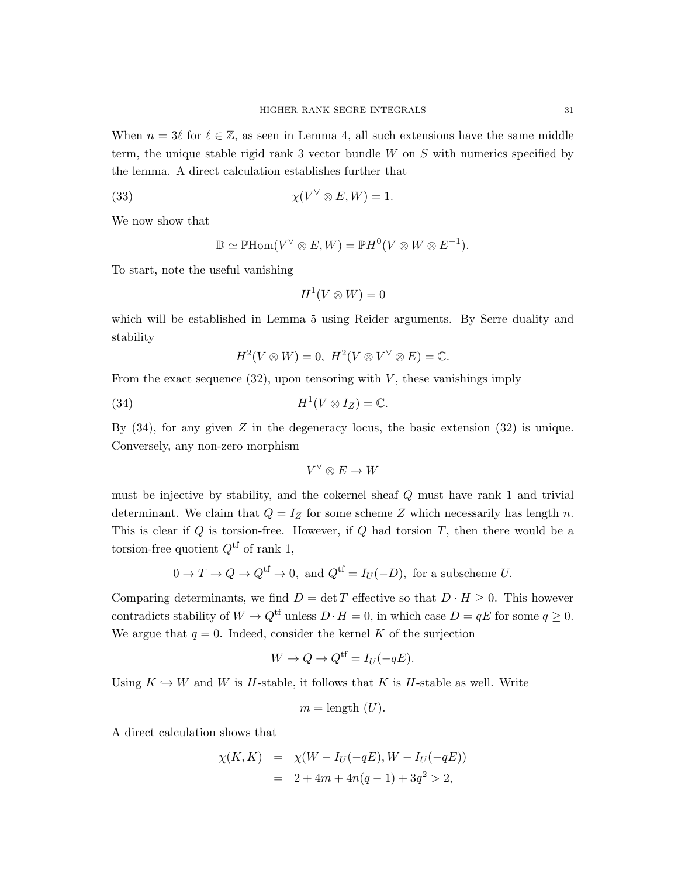When  $n = 3\ell$  for  $\ell \in \mathbb{Z}$ , as seen in Lemma 4, all such extensions have the same middle term, the unique stable rigid rank 3 vector bundle  $W$  on  $S$  with numerics specified by the lemma. A direct calculation establishes further that

(33) 
$$
\chi(V^{\vee} \otimes E, W) = 1.
$$

We now show that

$$
\mathbb{D} \simeq \mathbb{P} \mathrm{Hom}(V^{\vee} \otimes E, W) = \mathbb{P} H^{0}(V \otimes W \otimes E^{-1}).
$$

To start, note the useful vanishing

$$
H^1(V\otimes W)=0
$$

which will be established in Lemma 5 using Reider arguments. By Serre duality and stability

$$
H^2(V \otimes W) = 0, \ H^2(V \otimes V^{\vee} \otimes E) = \mathbb{C}.
$$

From the exact sequence  $(32)$ , upon tensoring with V, these vanishings imply

(34) 
$$
H^1(V \otimes I_Z) = \mathbb{C}.
$$

By  $(34)$ , for any given Z in the degeneracy locus, the basic extension  $(32)$  is unique. Conversely, any non-zero morphism

$$
V^\vee \otimes E \to W
$$

must be injective by stability, and the cokernel sheaf Q must have rank 1 and trivial determinant. We claim that  $Q = I_Z$  for some scheme Z which necessarily has length n. This is clear if  $Q$  is torsion-free. However, if  $Q$  had torsion  $T$ , then there would be a torsion-free quotient  $Q^{\text{tf}}$  of rank 1,

$$
0 \to T \to Q \to Q^{\text{tf}} \to 0
$$
, and  $Q^{\text{tf}} = I_U(-D)$ , for a subscheme U.

Comparing determinants, we find  $D = \det T$  effective so that  $D \cdot H \geq 0$ . This however contradicts stability of  $W \to Q^{\text{tf}}$  unless  $D \cdot H = 0$ , in which case  $D = qE$  for some  $q \geq 0$ . We argue that  $q = 0$ . Indeed, consider the kernel K of the surjection

$$
W \to Q \to Q^{\text{tf}} = I_U(-qE).
$$

Using  $K \hookrightarrow W$  and W is H-stable, it follows that K is H-stable as well. Write

$$
m = \text{length } (U).
$$

A direct calculation shows that

$$
\chi(K, K) = \chi(W - I_U(-qE), W - I_U(-qE))
$$
  
= 2 + 4m + 4n(q - 1) + 3q<sup>2</sup> > 2,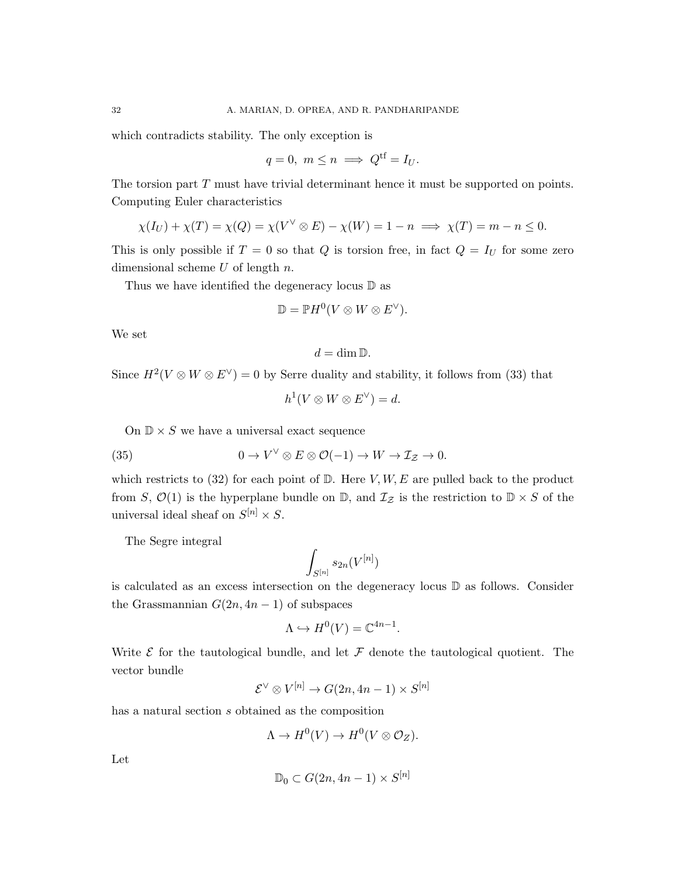which contradicts stability. The only exception is

$$
q = 0, \ m \le n \implies Q^{\text{tf}} = I_U.
$$

The torsion part T must have trivial determinant hence it must be supported on points. Computing Euler characteristics

$$
\chi(I_U) + \chi(T) = \chi(Q) = \chi(V^{\vee} \otimes E) - \chi(W) = 1 - n \implies \chi(T) = m - n \le 0.
$$

This is only possible if  $T = 0$  so that Q is torsion free, in fact  $Q = I_U$  for some zero dimensional scheme  $U$  of length  $n$ .

Thus we have identified the degeneracy locus D as

$$
\mathbb{D} = \mathbb{P} H^0(V \otimes W \otimes E^{\vee}).
$$

We set

$$
d=\dim \mathbb{D}.
$$

Since  $H^2(V \otimes W \otimes E^{\vee}) = 0$  by Serre duality and stability, it follows from (33) that

$$
h^1(V\otimes W\otimes E^{\vee})=d.
$$

On  $\mathbb{D} \times S$  we have a universal exact sequence

(35) 
$$
0 \to V^{\vee} \otimes E \otimes \mathcal{O}(-1) \to W \to \mathcal{I}_{\mathcal{Z}} \to 0.
$$

which restricts to (32) for each point of  $D$ . Here  $V, W, E$  are pulled back to the product from S,  $\mathcal{O}(1)$  is the hyperplane bundle on  $\mathbb{D}$ , and  $\mathcal{I}_{\mathcal{Z}}$  is the restriction to  $\mathbb{D} \times S$  of the universal ideal sheaf on  $S^{[n]} \times S$ .

The Segre integral

$$
\int_{S^{[n]}}s_{2n}(V^{[n]})
$$

is calculated as an excess intersection on the degeneracy locus D as follows. Consider the Grassmannian  $G(2n, 4n-1)$  of subspaces

$$
\Lambda \hookrightarrow H^0(V) = \mathbb{C}^{4n-1}.
$$

Write  $\mathcal E$  for the tautological bundle, and let  $\mathcal F$  denote the tautological quotient. The vector bundle

$$
\mathcal{E}^{\vee} \otimes V^{[n]} \to G(2n, 4n - 1) \times S^{[n]}
$$

has a natural section s obtained as the composition

$$
\Lambda \to H^0(V) \to H^0(V\otimes \mathcal{O}_Z).
$$

Let

$$
\mathbb{D}_0 \subset G(2n, 4n-1) \times S^{[n]}
$$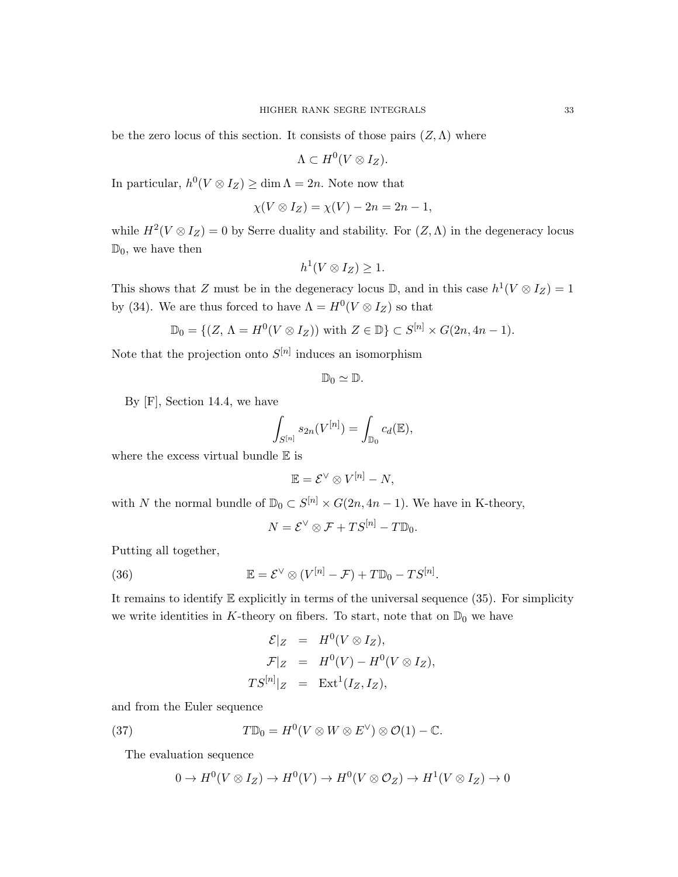be the zero locus of this section. It consists of those pairs  $(Z, \Lambda)$  where

$$
\Lambda \subset H^0(V\otimes I_Z).
$$

In particular,  $h^0(V \otimes I_Z) \ge \dim \Lambda = 2n$ . Note now that

$$
\chi(V \otimes I_Z) = \chi(V) - 2n = 2n - 1,
$$

while  $H^2(V \otimes I_Z) = 0$  by Serre duality and stability. For  $(Z, \Lambda)$  in the degeneracy locus  $\mathbb{D}_0$ , we have then

$$
h^1(V \otimes I_Z) \geq 1.
$$

This shows that Z must be in the degeneracy locus D, and in this case  $h^1(V \otimes I_Z) = 1$ by (34). We are thus forced to have  $\Lambda = H^0(V \otimes I_Z)$  so that

$$
\mathbb{D}_0 = \{ (Z, \Lambda = H^0(V \otimes I_Z)) \text{ with } Z \in \mathbb{D} \} \subset S^{[n]} \times G(2n, 4n - 1).
$$

Note that the projection onto  $S^{[n]}$  induces an isomorphism

$$
\mathbb{D}_0\simeq \mathbb{D}.
$$

By [F], Section 14.4, we have

$$
\int_{S^{[n]}} s_{2n}(V^{[n]}) = \int_{\mathbb{D}_0} c_d(\mathbb{E}),
$$

where the excess virtual bundle  $\mathbb E$  is

$$
\mathbb{E} = \mathcal{E}^{\vee} \otimes V^{[n]} - N,
$$

with N the normal bundle of  $\mathbb{D}_0 \subset S^{[n]} \times G(2n, 4n-1)$ . We have in K-theory,

$$
N = \mathcal{E}^{\vee} \otimes \mathcal{F} + TS^{[n]} - T\mathbb{D}_0.
$$

Putting all together,

(36) 
$$
\mathbb{E} = \mathcal{E}^{\vee} \otimes (V^{[n]} - \mathcal{F}) + T \mathbb{D}_0 - TS^{[n]}.
$$

It remains to identify  $E$  explicitly in terms of the universal sequence (35). For simplicity we write identities in K-theory on fibers. To start, note that on  $\mathbb{D}_0$  we have

$$
\mathcal{E}|_Z = H^0(V \otimes I_Z),
$$
  
\n
$$
\mathcal{F}|_Z = H^0(V) - H^0(V \otimes I_Z),
$$
  
\n
$$
TS^{[n]}|_Z = \text{Ext}^1(I_Z, I_Z),
$$

and from the Euler sequence

(37) 
$$
T\mathbb{D}_0 = H^0(V \otimes W \otimes E^{\vee}) \otimes \mathcal{O}(1) - \mathbb{C}.
$$

The evaluation sequence

$$
0 \to H^0(V \otimes I_Z) \to H^0(V) \to H^0(V \otimes \mathcal{O}_Z) \to H^1(V \otimes I_Z) \to 0
$$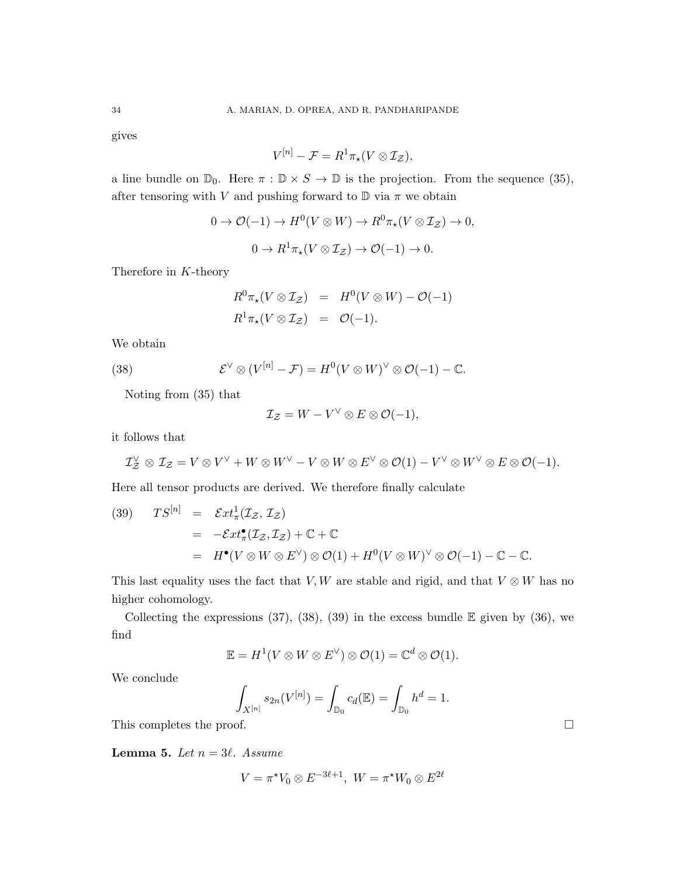gives

$$
V^{[n]} - \mathcal{F} = R^1 \pi_\star (V \otimes \mathcal{I}_\mathcal{Z}),
$$

a line bundle on  $\mathbb{D}_0$ . Here  $\pi : \mathbb{D} \times S \to \mathbb{D}$  is the projection. From the sequence (35), after tensoring with V and pushing forward to  $\mathbb D$  via  $\pi$  we obtain

$$
0 \to \mathcal{O}(-1) \to H^0(V \otimes W) \to R^0 \pi_*(V \otimes \mathcal{I}_\mathcal{Z}) \to 0,
$$
  

$$
0 \to R^1 \pi_*(V \otimes \mathcal{I}_\mathcal{Z}) \to \mathcal{O}(-1) \to 0.
$$

Therefore in K-theory

$$
R^{0}\pi_{\star}(V \otimes \mathcal{I}_{\mathcal{Z}}) = H^{0}(V \otimes W) - \mathcal{O}(-1)
$$
  

$$
R^{1}\pi_{\star}(V \otimes \mathcal{I}_{\mathcal{Z}}) = \mathcal{O}(-1).
$$

We obtain

(38) 
$$
\mathcal{E}^{\vee} \otimes (V^{[n]} - \mathcal{F}) = H^{0}(V \otimes W)^{\vee} \otimes \mathcal{O}(-1) - \mathbb{C}.
$$

Noting from (35) that

$$
\mathcal{I}_{\mathcal{Z}}=W-V^{\vee}\otimes E\otimes\mathcal{O}(-1),
$$

it follows that

$$
\mathcal{I}_\mathcal{Z}^\vee \otimes \mathcal{I}_\mathcal{Z} = V \otimes V^\vee + W \otimes W^\vee - V \otimes W \otimes E^\vee \otimes \mathcal{O}(1) - V^\vee \otimes W^\vee \otimes E \otimes \mathcal{O}(-1).
$$

Here all tensor products are derived. We therefore finally calculate

(39) 
$$
TS^{[n]} = \mathcal{E}xt_{\pi}^{1}(\mathcal{I}_{\mathcal{Z}}, \mathcal{I}_{\mathcal{Z}})
$$
  
=  $-\mathcal{E}xt_{\pi}^{1}(\mathcal{I}_{\mathcal{Z}}, \mathcal{I}_{\mathcal{Z}}) + \mathbb{C} + \mathbb{C}$   
=  $H^{\bullet}(V \otimes W \otimes E^{\vee}) \otimes \mathcal{O}(1) + H^{0}(V \otimes W)^{\vee} \otimes \mathcal{O}(-1) - \mathbb{C} - \mathbb{C}.$ 

This last equality uses the fact that V, W are stable and rigid, and that  $V \otimes W$  has no higher cohomology.

Collecting the expressions  $(37)$ ,  $(38)$ ,  $(39)$  in the excess bundle E given by  $(36)$ , we find

$$
\mathbb{E} = H^1(V \otimes W \otimes E^{\vee}) \otimes \mathcal{O}(1) = \mathbb{C}^d \otimes \mathcal{O}(1).
$$

We conclude

$$
\int_{X^{[n]}} s_{2n}(V^{[n]}) = \int_{\mathbb{D}_0} c_d(\mathbb{E}) = \int_{\mathbb{D}_0} h^d = 1.
$$

This completes the proof.  $\Box$ 

**Lemma 5.** Let  $n = 3\ell$ . Assume

$$
V = \pi^{\star} V_0 \otimes E^{-3\ell+1}, \ W = \pi^{\star} W_0 \otimes E^{2\ell}
$$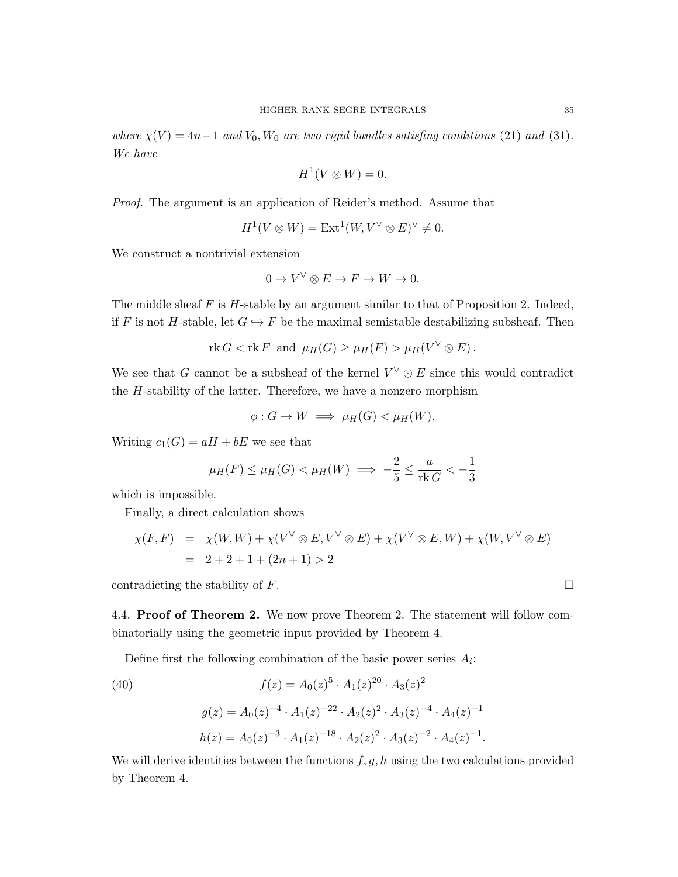where  $\chi(V) = 4n-1$  and  $V_0$ ,  $W_0$  are two rigid bundles satisfing conditions (21) and (31). We have

$$
H^1(V \otimes W) = 0.
$$

Proof. The argument is an application of Reider's method. Assume that

$$
H^1(V \otimes W) = \text{Ext}^1(W, V^{\vee} \otimes E)^{\vee} \neq 0.
$$

We construct a nontrivial extension

$$
0 \to V^{\vee} \otimes E \to F \to W \to 0.
$$

The middle sheaf  $F$  is  $H$ -stable by an argument similar to that of Proposition 2. Indeed, if F is not H-stable, let  $G \hookrightarrow F$  be the maximal semistable destabilizing subsheaf. Then

$$
\text{rk } G < \text{rk } F \text{ and } \mu_H(G) \ge \mu_H(F) > \mu_H(V^{\vee} \otimes E) \, .
$$

We see that G cannot be a subsheaf of the kernel  $V^{\vee} \otimes E$  since this would contradict the  $H$ -stability of the latter. Therefore, we have a nonzero morphism

$$
\phi: G \to W \implies \mu_H(G) < \mu_H(W).
$$

Writing  $c_1(G) = aH + bE$  we see that

$$
\mu_H(F) \le \mu_H(G) < \mu_H(W) \implies -\frac{2}{5} \le \frac{a}{\text{rk } G} < -\frac{1}{3}
$$

which is impossible.

Finally, a direct calculation shows

$$
\chi(F, F) = \chi(W, W) + \chi(V^{\vee} \otimes E, V^{\vee} \otimes E) + \chi(V^{\vee} \otimes E, W) + \chi(W, V^{\vee} \otimes E)
$$
  
= 2 + 2 + 1 + (2n + 1) > 2

contradicting the stability of  $F$ .

4.4. Proof of Theorem 2. We now prove Theorem 2. The statement will follow combinatorially using the geometric input provided by Theorem 4.

Define first the following combination of the basic power series  $A_i$ :

(40)  
\n
$$
f(z) = A_0(z)^5 \cdot A_1(z)^{20} \cdot A_3(z)^2
$$
\n
$$
g(z) = A_0(z)^{-4} \cdot A_1(z)^{-22} \cdot A_2(z)^2 \cdot A_3(z)^{-4} \cdot A_4(z)^{-1}
$$
\n
$$
h(z) = A_0(z)^{-3} \cdot A_1(z)^{-18} \cdot A_2(z)^2 \cdot A_3(z)^{-2} \cdot A_4(z)^{-1}.
$$

We will derive identities between the functions  $f, g, h$  using the two calculations provided by Theorem 4.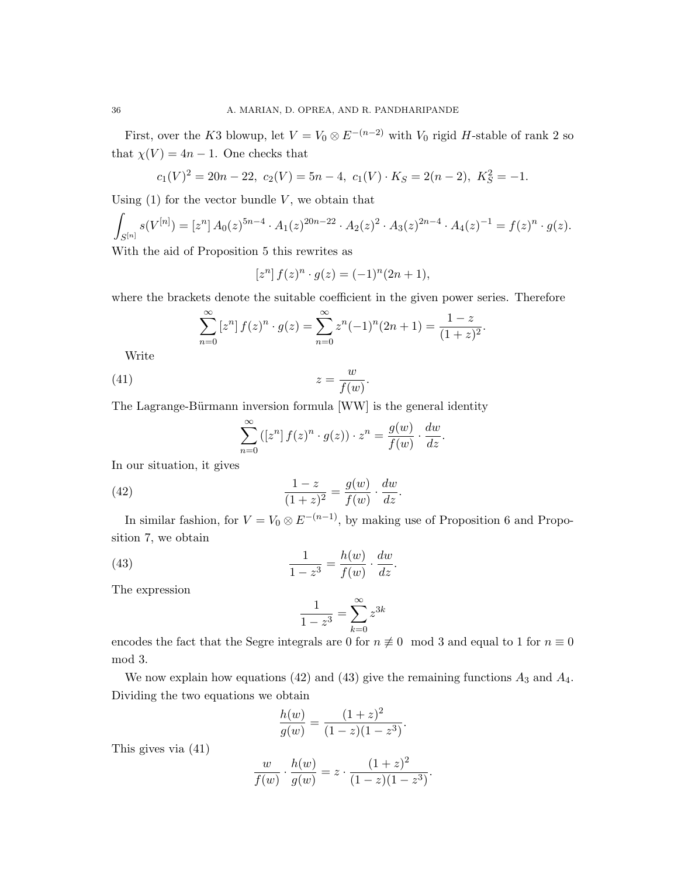First, over the K3 blowup, let  $V = V_0 \otimes E^{-(n-2)}$  with  $V_0$  rigid H-stable of rank 2 so that  $\chi(V) = 4n - 1$ . One checks that

$$
c_1(V)^2 = 20n - 22
$$
,  $c_2(V) = 5n - 4$ ,  $c_1(V) \cdot K_S = 2(n - 2)$ ,  $K_S^2 = -1$ .

Using  $(1)$  for the vector bundle V, we obtain that

$$
\int_{S^{[n]}} s(V^{[n]}) = [z^n] A_0(z)^{5n-4} \cdot A_1(z)^{20n-22} \cdot A_2(z)^2 \cdot A_3(z)^{2n-4} \cdot A_4(z)^{-1} = f(z)^n \cdot g(z).
$$

With the aid of Proposition 5 this rewrites as

$$
[zn] f(z)n · g(z) = (-1)n (2n + 1),
$$

where the brackets denote the suitable coefficient in the given power series. Therefore

$$
\sum_{n=0}^{\infty} \left[ z^n \right] f(z)^n \cdot g(z) = \sum_{n=0}^{\infty} z^n (-1)^n (2n+1) = \frac{1-z}{(1+z)^2}.
$$

Write

$$
(41) \t\t\t z = \frac{w}{f(w)}.
$$

The Lagrange-Bürmann inversion formula [WW] is the general identity

$$
\sum_{n=0}^{\infty} ([z^n] f(z)^n \cdot g(z)) \cdot z^n = \frac{g(w)}{f(w)} \cdot \frac{dw}{dz}.
$$

In our situation, it gives

(42) 
$$
\frac{1-z}{(1+z)^2} = \frac{g(w)}{f(w)} \cdot \frac{dw}{dz}.
$$

In similar fashion, for  $V = V_0 \otimes E^{-(n-1)}$ , by making use of Proposition 6 and Proposition 7, we obtain

(43) 
$$
\frac{1}{1-z^3} = \frac{h(w)}{f(w)} \cdot \frac{dw}{dz}.
$$

The expression

$$
\frac{1}{1-z^3} = \sum_{k=0}^{\infty} z^{3k}
$$

encodes the fact that the Segre integrals are 0 for  $n \neq 0 \mod 3$  and equal to 1 for  $n \equiv 0$ mod 3.

We now explain how equations (42) and (43) give the remaining functions  $A_3$  and  $A_4$ . Dividing the two equations we obtain

$$
\frac{h(w)}{g(w)} = \frac{(1+z)^2}{(1-z)(1-z^3)}.
$$

This gives via (41)

$$
\frac{w}{f(w)} \cdot \frac{h(w)}{g(w)} = z \cdot \frac{(1+z)^2}{(1-z)(1-z^3)}.
$$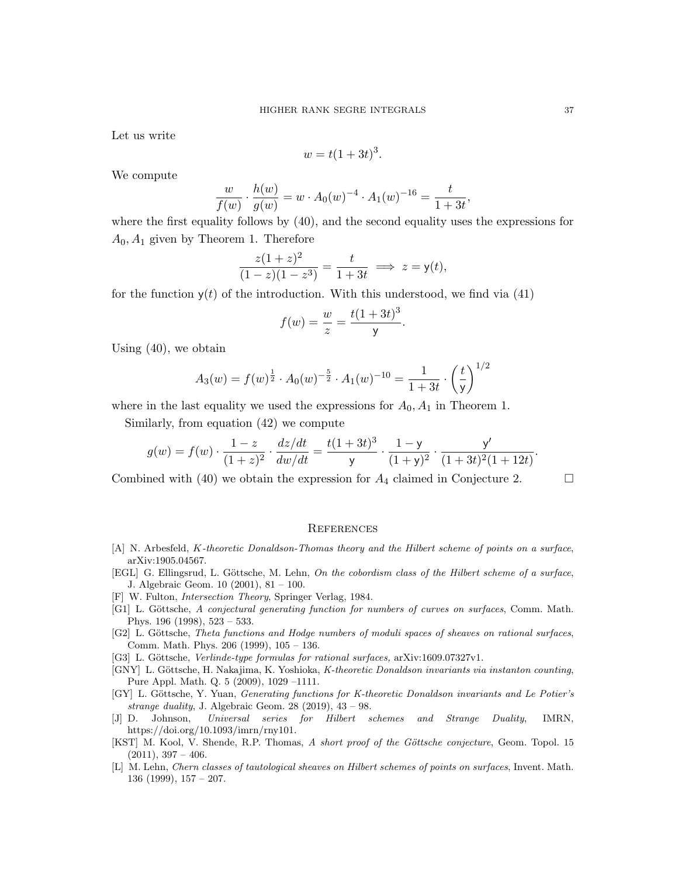Let us write

$$
w = t(1+3t)^3.
$$

We compute

$$
\frac{w}{f(w)} \cdot \frac{h(w)}{g(w)} = w \cdot A_0(w)^{-4} \cdot A_1(w)^{-16} = \frac{t}{1+3t},
$$

where the first equality follows by (40), and the second equality uses the expressions for  $A_0$ ,  $A_1$  given by Theorem 1. Therefore

$$
\frac{z(1+z)^2}{(1-z)(1-z^3)} = \frac{t}{1+3t} \implies z = \mathsf{y}(t),
$$

for the function  $y(t)$  of the introduction. With this understood, we find via (41)

$$
f(w) = \frac{w}{z} = \frac{t(1+3t)^3}{y}.
$$

Using (40), we obtain

$$
A_3(w) = f(w)^{\frac{1}{2}} \cdot A_0(w)^{-\frac{5}{2}} \cdot A_1(w)^{-10} = \frac{1}{1+3t} \cdot \left(\frac{t}{y}\right)^{1/2}
$$

where in the last equality we used the expressions for  $A_0$ ,  $A_1$  in Theorem 1.

Similarly, from equation (42) we compute

$$
g(w) = f(w) \cdot \frac{1-z}{(1+z)^2} \cdot \frac{dz/dt}{dw/dt} = \frac{t(1+3t)^3}{y} \cdot \frac{1-y}{(1+y)^2} \cdot \frac{y'}{(1+3t)^2(1+12t)}.
$$

Combined with (40) we obtain the expression for  $A_4$  claimed in Conjecture 2.

#### **REFERENCES**

- [A] N. Arbesfeld, K-theoretic Donaldson-Thomas theory and the Hilbert scheme of points on a surface, arXiv:1905.04567.
- [EGL] G. Ellingsrud, L. Göttsche, M. Lehn, On the cobordism class of the Hilbert scheme of a surface, J. Algebraic Geom. 10 (2001), 81 – 100.
- [F] W. Fulton, Intersection Theory, Springer Verlag, 1984.
- [G1] L. Göttsche, A conjectural generating function for numbers of curves on surfaces, Comm. Math. Phys. 196 (1998), 523 – 533.
- [G2] L. Göttsche, Theta functions and Hodge numbers of moduli spaces of sheaves on rational surfaces, Comm. Math. Phys. 206 (1999), 105 – 136.
- [G3] L. Göttsche, Verlinde-type formulas for rational surfaces, arXiv:1609.07327v1.
- [GNY] L. Göttsche, H. Nakajima, K. Yoshioka, K-theoretic Donaldson invariants via instanton counting, Pure Appl. Math. Q. 5 (2009), 1029 –1111.
- [GY] L. Göttsche, Y. Yuan, Generating functions for K-theoretic Donaldson invariants and Le Potier's strange duality, J. Algebraic Geom.  $28$  (2019),  $43 - 98$ .
- [J] D. Johnson, Universal series for Hilbert schemes and Strange Duality, IMRN, https://doi.org/10.1093/imrn/rny101.
- [KST] M. Kool, V. Shende, R.P. Thomas, A short proof of the Göttsche conjecture, Geom. Topol. 15  $(2011), 397 - 406.$
- [L] M. Lehn, Chern classes of tautological sheaves on Hilbert schemes of points on surfaces, Invent. Math. 136 (1999), 157 – 207.